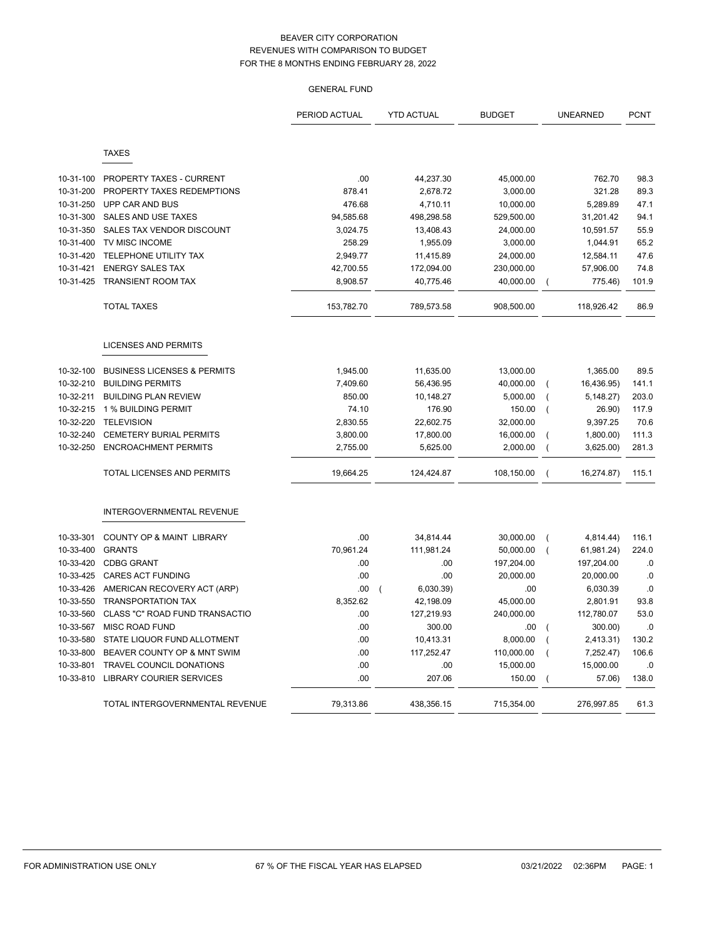# GENERAL FUND

|           |                                        | PERIOD ACTUAL | <b>YTD ACTUAL</b>           | <b>BUDGET</b> |                | <b>UNEARNED</b> | <b>PCNT</b> |
|-----------|----------------------------------------|---------------|-----------------------------|---------------|----------------|-----------------|-------------|
|           | <b>TAXES</b>                           |               |                             |               |                |                 |             |
|           |                                        |               |                             |               |                |                 |             |
| 10-31-100 | PROPERTY TAXES - CURRENT               | .00           | 44,237.30                   | 45,000.00     |                | 762.70          | 98.3        |
| 10-31-200 | PROPERTY TAXES REDEMPTIONS             | 878.41        | 2,678.72                    | 3,000.00      |                | 321.28          | 89.3        |
| 10-31-250 | UPP CAR AND BUS                        | 476.68        | 4,710.11                    | 10,000.00     |                | 5,289.89        | 47.1        |
| 10-31-300 | SALES AND USE TAXES                    | 94,585.68     | 498,298.58                  | 529,500.00    |                | 31,201.42       | 94.1        |
| 10-31-350 | SALES TAX VENDOR DISCOUNT              | 3,024.75      | 13,408.43                   | 24,000.00     |                | 10,591.57       | 55.9        |
| 10-31-400 | TV MISC INCOME                         | 258.29        | 1,955.09                    | 3,000.00      |                | 1,044.91        | 65.2        |
| 10-31-420 | <b>TELEPHONE UTILITY TAX</b>           | 2.949.77      | 11,415.89                   | 24,000.00     |                | 12,584.11       | 47.6        |
| 10-31-421 | <b>ENERGY SALES TAX</b>                | 42,700.55     | 172,094.00                  | 230,000.00    |                | 57,906.00       | 74.8        |
| 10-31-425 | TRANSIENT ROOM TAX                     | 8,908.57      | 40,775.46                   | 40,000.00     | $\overline{ }$ | 775.46)         | 101.9       |
|           | <b>TOTAL TAXES</b>                     | 153,782.70    | 789,573.58                  | 908,500.00    |                | 118,926.42      | 86.9        |
|           | <b>LICENSES AND PERMITS</b>            |               |                             |               |                |                 |             |
| 10-32-100 | <b>BUSINESS LICENSES &amp; PERMITS</b> | 1,945.00      | 11,635.00                   | 13,000.00     |                | 1,365.00        | 89.5        |
| 10-32-210 | <b>BUILDING PERMITS</b>                | 7,409.60      | 56,436.95                   | 40,000.00     | $\overline{(}$ | 16,436.95)      | 141.1       |
| 10-32-211 | <b>BUILDING PLAN REVIEW</b>            | 850.00        | 10,148.27                   | 5,000.00      | (              | 5,148.27        | 203.0       |
| 10-32-215 | 1 % BUILDING PERMIT                    | 74.10         | 176.90                      | 150.00        | $\overline{ }$ | 26.90)          | 117.9       |
| 10-32-220 | <b>TELEVISION</b>                      | 2,830.55      | 22,602.75                   | 32,000.00     |                | 9,397.25        | 70.6        |
| 10-32-240 | <b>CEMETERY BURIAL PERMITS</b>         | 3,800.00      | 17,800.00                   | 16,000.00     | $\overline{ }$ | 1,800.00        | 111.3       |
| 10-32-250 | <b>ENCROACHMENT PERMITS</b>            | 2,755.00      | 5,625.00                    | 2,000.00      | $\left($       | 3,625.00        | 281.3       |
|           | TOTAL LICENSES AND PERMITS             | 19,664.25     | 124,424.87                  | 108,150.00    | $\overline{ }$ | 16,274.87)      | 115.1       |
|           | INTERGOVERNMENTAL REVENUE              |               |                             |               |                |                 |             |
| 10-33-301 | COUNTY OP & MAINT LIBRARY              | .00           | 34,814.44                   | 30,000.00     | $\overline{ }$ | 4,814.44)       | 116.1       |
| 10-33-400 | <b>GRANTS</b>                          | 70,961.24     | 111,981.24                  | 50,000.00     | $\overline{ }$ | 61,981.24)      | 224.0       |
| 10-33-420 | <b>CDBG GRANT</b>                      | .00           | .00                         | 197,204.00    |                | 197,204.00      | .0          |
| 10-33-425 | <b>CARES ACT FUNDING</b>               | .00           | .00                         | 20,000.00     |                | 20,000.00       | .0          |
| 10-33-426 | AMERICAN RECOVERY ACT (ARP)            | .00           | 6,030.39)<br>$\overline{ }$ | .00           |                | 6,030.39        | .0          |
| 10-33-550 | <b>TRANSPORTATION TAX</b>              | 8,352.62      | 42,198.09                   | 45,000.00     |                | 2,801.91        | 93.8        |
| 10-33-560 | CLASS "C" ROAD FUND TRANSACTIO         | .00           | 127,219.93                  | 240,000.00    |                | 112,780.07      | 53.0        |
| 10-33-567 | <b>MISC ROAD FUND</b>                  | .00           | 300.00                      | .00           | $\overline{ }$ | 300.00)         | .0          |
| 10-33-580 | STATE LIQUOR FUND ALLOTMENT            | .00           | 10,413.31                   | 8,000.00      | $\overline{ }$ | 2,413.31)       | 130.2       |
| 10-33-800 | BEAVER COUNTY OP & MNT SWIM            | .00           | 117,252.47                  | 110,000.00    | $\overline{ }$ | 7,252.47)       | 106.6       |
| 10-33-801 | <b>TRAVEL COUNCIL DONATIONS</b>        | .00           | .00                         | 15,000.00     |                | 15,000.00       | .0          |
| 10-33-810 | <b>LIBRARY COURIER SERVICES</b>        | .00           | 207.06                      | 150.00        | $\overline{ }$ | 57.06)          | 138.0       |
|           | TOTAL INTERGOVERNMENTAL REVENUE        | 79,313.86     | 438,356.15                  | 715,354.00    |                | 276,997.85      | 61.3        |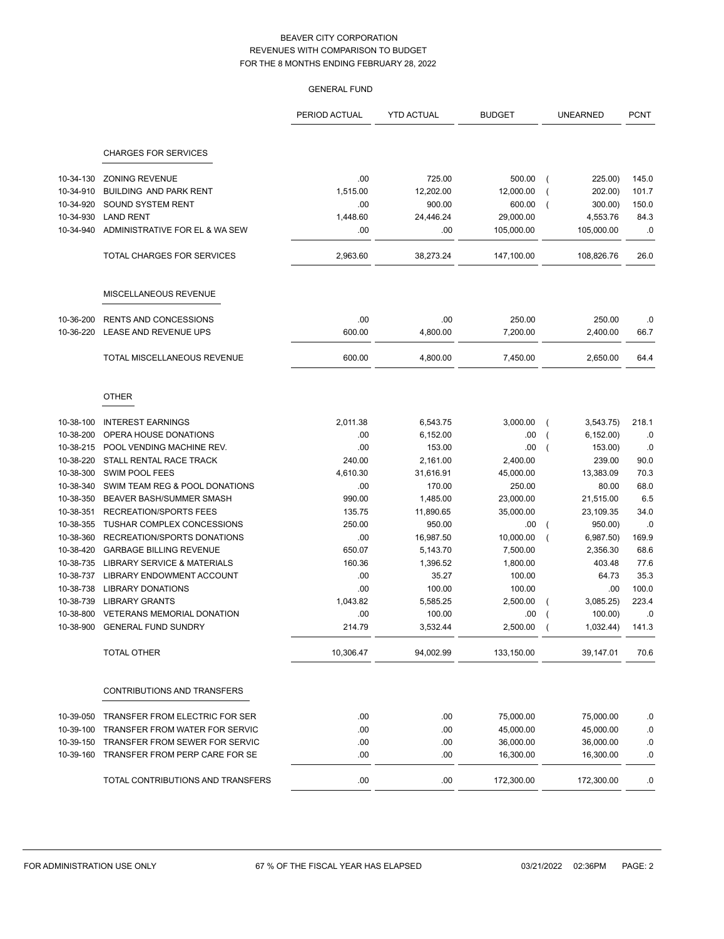|                        |                                             | <b>GENERAL FUND</b> |                     |                     |                             |                |
|------------------------|---------------------------------------------|---------------------|---------------------|---------------------|-----------------------------|----------------|
|                        |                                             | PERIOD ACTUAL       | <b>YTD ACTUAL</b>   | <b>BUDGET</b>       | <b>UNEARNED</b>             | <b>PCNT</b>    |
|                        | <b>CHARGES FOR SERVICES</b>                 |                     |                     |                     |                             |                |
|                        | <b>ZONING REVENUE</b>                       |                     |                     |                     |                             |                |
| 10-34-130              |                                             | .00                 | 725.00              | 500.00              | 225.00)                     | 145.0          |
| 10-34-910<br>10-34-920 | BUILDING AND PARK RENT<br>SOUND SYSTEM RENT | 1,515.00<br>.00     | 12,202.00<br>900.00 | 12,000.00           | 202.00)                     | 101.7<br>150.0 |
| 10-34-930              | <b>LAND RENT</b>                            | 1,448.60            | 24,446.24           | 600.00<br>29,000.00 | 300.00)<br>4,553.76         | 84.3           |
| 10-34-940              | ADMINISTRATIVE FOR EL & WA SEW              | .00                 | .00                 | 105,000.00          | 105,000.00                  | .0             |
|                        | <b>TOTAL CHARGES FOR SERVICES</b>           | 2,963.60            | 38,273.24           | 147,100.00          | 108,826.76                  | 26.0           |
|                        |                                             |                     |                     |                     |                             |                |
|                        | MISCELLANEOUS REVENUE                       |                     |                     |                     |                             |                |
| 10-36-200              | <b>RENTS AND CONCESSIONS</b>                | .00                 | .00                 | 250.00              | 250.00                      | .0             |
| 10-36-220              | LEASE AND REVENUE UPS                       | 600.00              | 4,800.00            | 7,200.00            | 2,400.00                    | 66.7           |
|                        | TOTAL MISCELLANEOUS REVENUE                 | 600.00              | 4,800.00            | 7,450.00            | 2,650.00                    | 64.4           |
|                        | <b>OTHER</b>                                |                     |                     |                     |                             |                |
| 10-38-100              | <b>INTEREST EARNINGS</b>                    | 2.011.38            | 6,543.75            | 3,000.00            | $\overline{ }$<br>3,543.75) | 218.1          |
| 10-38-200              | OPERA HOUSE DONATIONS                       | .00                 | 6,152.00            | .00                 | 6, 152.00                   | .0             |
| 10-38-215              | POOL VENDING MACHINE REV.                   | .00                 | 153.00              | .00                 | 153.00)                     | .0             |
| 10-38-220              | STALL RENTAL RACE TRACK                     | 240.00              | 2,161.00            | 2,400.00            | 239.00                      | 90.0           |
| 10-38-300              | <b>SWIM POOL FEES</b>                       | 4,610.30            | 31,616.91           | 45,000.00           | 13,383.09                   | 70.3           |
| 10-38-340              | SWIM TEAM REG & POOL DONATIONS              | .00                 | 170.00              | 250.00              | 80.00                       | 68.0           |
| 10-38-350              | BEAVER BASH/SUMMER SMASH                    | 990.00              | 1,485.00            | 23,000.00           | 21,515.00                   | 6.5            |
| 10-38-351              | <b>RECREATION/SPORTS FEES</b>               | 135.75              | 11,890.65           | 35,000.00           | 23,109.35                   | 34.0           |
| 10-38-355              | TUSHAR COMPLEX CONCESSIONS                  | 250.00              | 950.00              | .00                 | 950.00)                     | .0             |
| 10-38-360              | RECREATION/SPORTS DONATIONS                 | .00                 | 16,987.50           | 10,000.00           | 6,987.50                    | 169.9          |
| 10-38-420              | <b>GARBAGE BILLING REVENUE</b>              | 650.07              | 5,143.70            | 7,500.00            | 2,356.30                    | 68.6           |
| 10-38-735              | <b>LIBRARY SERVICE &amp; MATERIALS</b>      | 160.36              | 1,396.52            | 1,800.00            | 403.48                      | 77.6           |
| 10-38-737              | LIBRARY ENDOWMENT ACCOUNT                   | .00                 | 35.27               | 100.00              | 64.73                       | 35.3           |
| 10-38-738              | <b>LIBRARY DONATIONS</b>                    | .00                 | 100.00              | 100.00              | .00                         | 100.0          |
| 10-38-739              | <b>LIBRARY GRANTS</b>                       | 1.043.82            | 5,585.25            | 2,500.00            | 3,085.25                    | 223.4          |
|                        | 10-38-800 VETERANS MEMORIAL DONATION        | .00                 | 100.00              | .00.                | 100.00)                     | .0             |
| 10-38-900              | <b>GENERAL FUND SUNDRY</b>                  | 214.79              | 3,532.44            | 2,500.00            | 1,032.44)                   | 141.3          |
|                        | TOTAL OTHER                                 | 10,306.47           | 94,002.99           | 133,150.00          | 39,147.01                   | 70.6           |
|                        | CONTRIBUTIONS AND TRANSFERS                 |                     |                     |                     |                             |                |
| 10-39-050              | TRANSFER FROM ELECTRIC FOR SER              | .00                 | .00                 | 75,000.00           | 75,000.00                   | .0             |
| 10-39-100              | TRANSFER FROM WATER FOR SERVIC              | .00                 | .00                 | 45,000.00           | 45,000.00                   | .0             |
| 10-39-150              | TRANSFER FROM SEWER FOR SERVIC              | .00                 | .00                 | 36,000.00           | 36,000.00                   | .0             |
| 10-39-160              | TRANSFER FROM PERP CARE FOR SE              | .00                 | .00                 | 16,300.00           | 16,300.00                   | .0             |
|                        | TOTAL CONTRIBUTIONS AND TRANSFERS           | .00                 | .00                 | 172,300.00          | 172,300.00                  | .0             |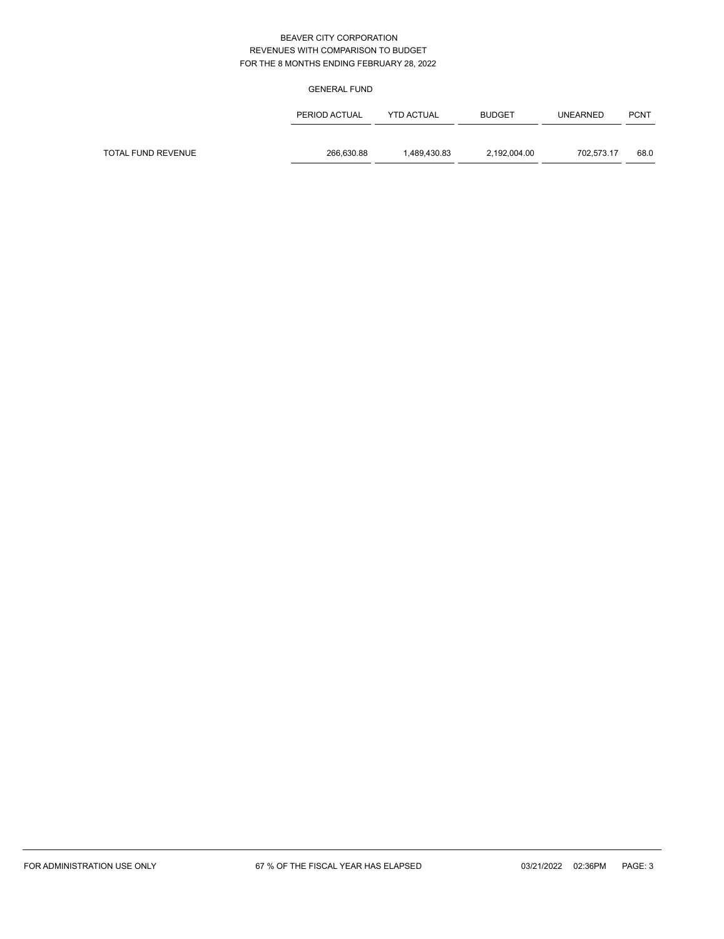#### GENERAL FUND

|                    | PERIOD ACTUAL | <b>YTD ACTUAL</b> | <b>BUDGET</b> | <b>UNEARNED</b> | <b>PCNT</b> |
|--------------------|---------------|-------------------|---------------|-----------------|-------------|
|                    |               |                   |               |                 |             |
| TOTAL FUND REVENUE | 266,630.88    | 1.489.430.83      | 2,192,004.00  | 702.573.17      | 68.0        |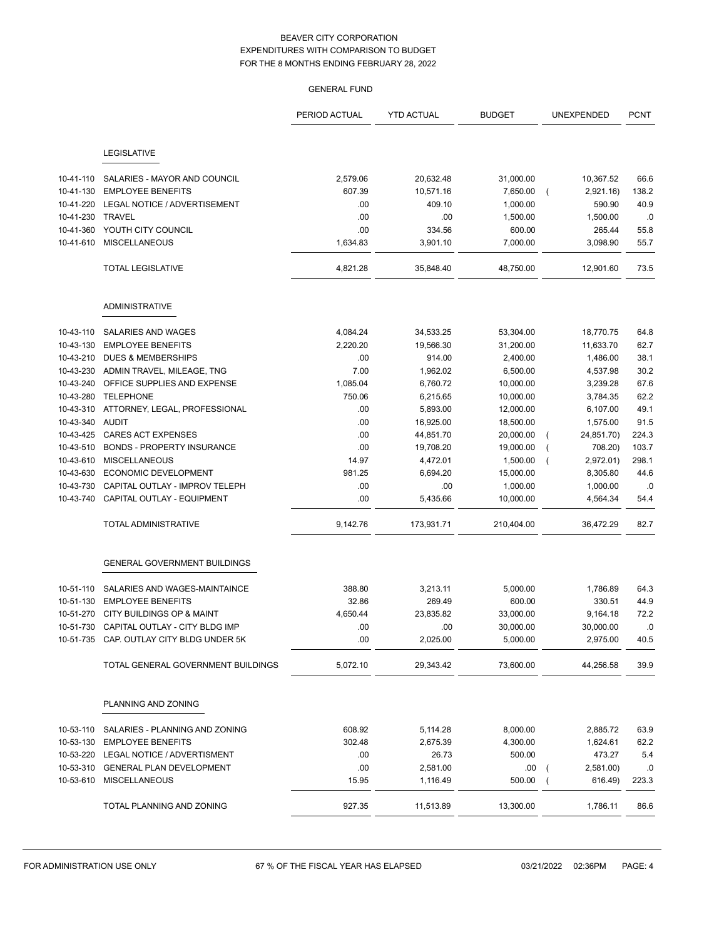|           |                                          | <b>GENERAL FUND</b> |                   |                    |                     |              |
|-----------|------------------------------------------|---------------------|-------------------|--------------------|---------------------|--------------|
|           |                                          | PERIOD ACTUAL       | <b>YTD ACTUAL</b> | <b>BUDGET</b>      | UNEXPENDED          | <b>PCNT</b>  |
|           | LEGISLATIVE                              |                     |                   |                    |                     |              |
| 10-41-110 | SALARIES - MAYOR AND COUNCIL             | 2,579.06            | 20,632.48         | 31,000.00          | 10,367.52           | 66.6         |
| 10-41-130 | <b>EMPLOYEE BENEFITS</b>                 | 607.39              | 10,571.16         | 7,650.00           |                     | 138.2        |
| 10-41-220 | LEGAL NOTICE / ADVERTISEMENT             | .00                 | 409.10            | 1,000.00           | 2,921.16)<br>590.90 | 40.9         |
| 10-41-230 | <b>TRAVEL</b>                            | .00                 | .00               | 1,500.00           | 1,500.00            | .0           |
| 10-41-360 | YOUTH CITY COUNCIL                       | .00                 | 334.56            | 600.00             | 265.44              | 55.8         |
| 10-41-610 | <b>MISCELLANEOUS</b>                     | 1,634.83            | 3,901.10          | 7,000.00           | 3,098.90            | 55.7         |
|           |                                          |                     |                   |                    |                     |              |
|           | <b>TOTAL LEGISLATIVE</b>                 | 4,821.28            | 35,848.40         | 48,750.00          | 12,901.60           | 73.5         |
|           | <b>ADMINISTRATIVE</b>                    |                     |                   |                    |                     |              |
| 10-43-110 | SALARIES AND WAGES                       | 4,084.24            | 34,533.25         | 53,304.00          | 18,770.75           | 64.8         |
| 10-43-130 | <b>EMPLOYEE BENEFITS</b>                 | 2,220.20            | 19,566.30         | 31,200.00          | 11,633.70           | 62.7         |
| 10-43-210 | <b>DUES &amp; MEMBERSHIPS</b>            | .00                 | 914.00            | 2,400.00           | 1,486.00            | 38.1         |
| 10-43-230 | ADMIN TRAVEL, MILEAGE, TNG               | 7.00                | 1,962.02          | 6,500.00           | 4,537.98            | 30.2         |
| 10-43-240 | OFFICE SUPPLIES AND EXPENSE              | 1,085.04            | 6,760.72          | 10,000.00          | 3,239.28            | 67.6         |
| 10-43-280 | <b>TELEPHONE</b>                         | 750.06              | 6,215.65          | 10,000.00          | 3,784.35            | 62.2         |
| 10-43-310 | ATTORNEY, LEGAL, PROFESSIONAL            | .00                 | 5,893.00          | 12,000.00          | 6,107.00            | 49.1         |
| 10-43-340 | AUDIT                                    | .00                 | 16,925.00         | 18,500.00          | 1,575.00            | 91.5         |
| 10-43-425 | <b>CARES ACT EXPENSES</b>                | .00                 | 44,851.70         | 20,000.00          | 24,851.70)          | 224.3        |
| 10-43-510 | <b>BONDS - PROPERTY INSURANCE</b>        | .00                 | 19,708.20         | 19,000.00          | 708.20)             | 103.7        |
| 10-43-610 | <b>MISCELLANEOUS</b>                     | 14.97               | 4,472.01          | 1,500.00           | 2,972.01)           | 298.1        |
| 10-43-630 | ECONOMIC DEVELOPMENT                     | 981.25              | 6,694.20          | 15,000.00          | 8,305.80            | 44.6         |
| 10-43-730 | CAPITAL OUTLAY - IMPROV TELEPH           | .00                 | .00               | 1,000.00           | 1,000.00            | .0           |
| 10-43-740 | CAPITAL OUTLAY - EQUIPMENT               | .00                 | 5,435.66          | 10,000.00          | 4,564.34            | 54.4         |
|           | <b>TOTAL ADMINISTRATIVE</b>              | 9,142.76            | 173,931.71        | 210,404.00         | 36,472.29           | 82.7         |
|           | <b>GENERAL GOVERNMENT BUILDINGS</b>      |                     |                   |                    |                     |              |
| 10-51-110 | SALARIES AND WAGES-MAINTAINCE            | 388.80              | 3,213.11          | 5,000.00           | 1,786.89            | 64.3         |
| 10-51-130 | <b>EMPLOYEE BENEFITS</b>                 | 32.86               | 269.49            | 600.00             | 330.51              | 44.9         |
| 10-51-270 | CITY BUILDINGS OP & MAINT                | 4,650.44            | 23,835.82         | 33,000.00          | 9,164.18            | 72.2         |
|           | 10-51-730 CAPITAL OUTLAY - CITY BLDG IMP | .00                 | .00               | 30,000.00          | 30,000.00           | .0           |
|           | 10-51-735 CAP. OUTLAY CITY BLDG UNDER 5K | .00                 | 2,025.00          | 5,000.00           | 2,975.00            | 40.5         |
|           | TOTAL GENERAL GOVERNMENT BUILDINGS       | 5,072.10            | 29,343.42         | 73,600.00          | 44,256.58           | 39.9         |
|           | PLANNING AND ZONING                      |                     |                   |                    |                     |              |
| 10-53-110 | SALARIES - PLANNING AND ZONING           |                     | 5,114.28          |                    |                     |              |
|           | 10-53-130 EMPLOYEE BENEFITS              | 608.92<br>302.48    |                   | 8,000.00           | 2,885.72            | 63.9<br>62.2 |
|           | 10-53-220 LEGAL NOTICE / ADVERTISMENT    |                     | 2,675.39<br>26.73 | 4,300.00<br>500.00 | 1,624.61<br>473.27  | 5.4          |
|           | 10-53-310 GENERAL PLAN DEVELOPMENT       | .00<br>.00          | 2,581.00          | .00                | 2,581.00)           | .0           |
|           | 10-53-610 MISCELLANEOUS                  | 15.95               | 1,116.49          | 500.00             | 616.49)             | 223.3        |
|           | TOTAL PLANNING AND ZONING                | 927.35              | 11,513.89         | 13,300.00          | 1,786.11            | 86.6         |
|           |                                          |                     |                   |                    |                     |              |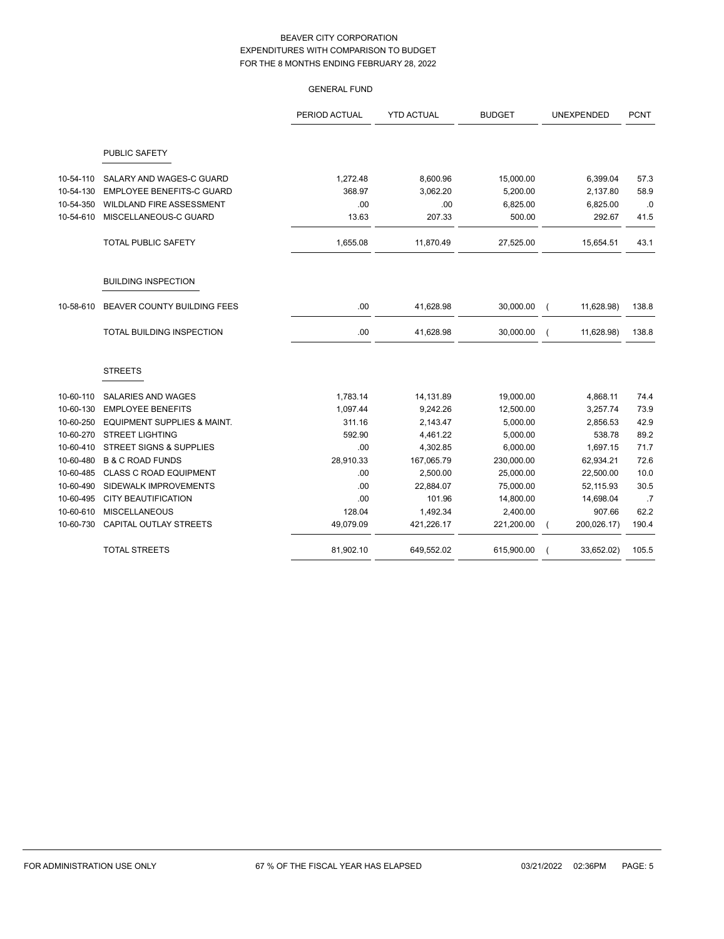|           |                                    | <b>GENERAL FUND</b> |                   |               |                              |             |
|-----------|------------------------------------|---------------------|-------------------|---------------|------------------------------|-------------|
|           |                                    | PERIOD ACTUAL       | <b>YTD ACTUAL</b> | <b>BUDGET</b> | UNEXPENDED                   | <b>PCNT</b> |
|           | PUBLIC SAFETY                      |                     |                   |               |                              |             |
| 10-54-110 | SALARY AND WAGES-C GUARD           | 1,272.48            | 8,600.96          | 15,000.00     | 6,399.04                     | 57.3        |
| 10-54-130 | <b>EMPLOYEE BENEFITS-C GUARD</b>   | 368.97              | 3,062.20          | 5,200.00      | 2,137.80                     | 58.9        |
| 10-54-350 | WILDLAND FIRE ASSESSMENT           | .00                 | .00               | 6,825.00      | 6,825.00                     | .0          |
| 10-54-610 | MISCELLANEOUS-C GUARD              | 13.63               | 207.33            | 500.00        | 292.67                       | 41.5        |
|           | <b>TOTAL PUBLIC SAFETY</b>         | 1,655.08            | 11,870.49         | 27,525.00     | 15,654.51                    | 43.1        |
|           | <b>BUILDING INSPECTION</b>         |                     |                   |               |                              |             |
| 10-58-610 | BEAVER COUNTY BUILDING FEES        | .00                 | 41,628.98         | 30,000.00     | 11,628.98)<br>$\overline{ }$ | 138.8       |
|           | TOTAL BUILDING INSPECTION          | .00                 | 41,628.98         | 30,000.00     | 11,628.98)<br>$\overline{ }$ | 138.8       |
|           | <b>STREETS</b>                     |                     |                   |               |                              |             |
| 10-60-110 | SALARIES AND WAGES                 | 1,783.14            | 14,131.89         | 19,000.00     | 4,868.11                     | 74.4        |
| 10-60-130 | <b>EMPLOYEE BENEFITS</b>           | 1,097.44            | 9,242.26          | 12,500.00     | 3,257.74                     | 73.9        |
| 10-60-250 | EQUIPMENT SUPPLIES & MAINT.        | 311.16              | 2,143.47          | 5,000.00      | 2,856.53                     | 42.9        |
| 10-60-270 | <b>STREET LIGHTING</b>             | 592.90              | 4,461.22          | 5,000.00      | 538.78                       | 89.2        |
| 10-60-410 | <b>STREET SIGNS &amp; SUPPLIES</b> | .00                 | 4,302.85          | 6,000.00      | 1,697.15                     | 71.7        |
| 10-60-480 | <b>B &amp; C ROAD FUNDS</b>        | 28,910.33           | 167,065.79        | 230,000.00    | 62,934.21                    | 72.6        |
| 10-60-485 | <b>CLASS C ROAD EQUIPMENT</b>      | .00                 | 2,500.00          | 25,000.00     | 22,500.00                    | 10.0        |
| 10-60-490 | SIDEWALK IMPROVEMENTS              | .00                 | 22,884.07         | 75,000.00     | 52,115.93                    | 30.5        |
| 10-60-495 | <b>CITY BEAUTIFICATION</b>         | .00                 | 101.96            | 14,800.00     | 14,698.04                    | .7          |
| 10-60-610 | <b>MISCELLANEOUS</b>               | 128.04              | 1,492.34          | 2,400.00      | 907.66                       | 62.2        |
| 10-60-730 | CAPITAL OUTLAY STREETS             | 49,079.09           | 421,226.17        | 221,200.00    | 200,026.17)<br>(             | 190.4       |
|           | <b>TOTAL STREETS</b>               | 81,902.10           | 649,552.02        | 615,900.00    | 33,652.02)                   | 105.5       |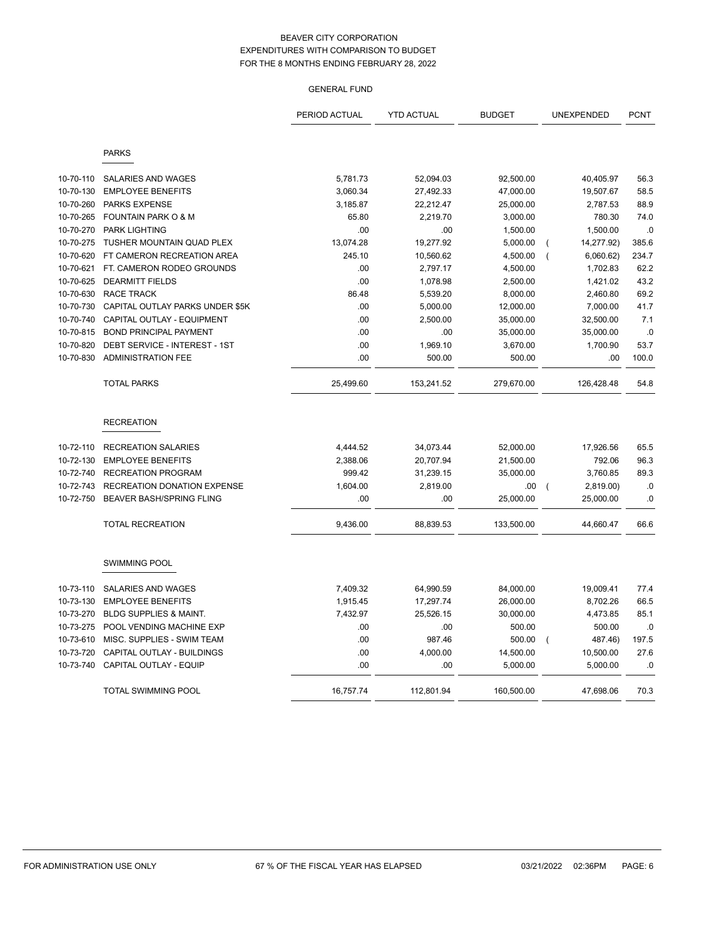# GENERAL FUND

|           |                                    | PERIOD ACTUAL | <b>YTD ACTUAL</b> | <b>BUDGET</b> |                | UNEXPENDED | <b>PCNT</b> |
|-----------|------------------------------------|---------------|-------------------|---------------|----------------|------------|-------------|
|           | <b>PARKS</b>                       |               |                   |               |                |            |             |
| 10-70-110 | <b>SALARIES AND WAGES</b>          | 5,781.73      | 52,094.03         | 92,500.00     |                | 40,405.97  | 56.3        |
| 10-70-130 | <b>EMPLOYEE BENEFITS</b>           | 3,060.34      | 27,492.33         | 47,000.00     |                | 19,507.67  | 58.5        |
| 10-70-260 | <b>PARKS EXPENSE</b>               | 3,185.87      | 22,212.47         | 25,000.00     |                | 2,787.53   | 88.9        |
| 10-70-265 | FOUNTAIN PARK O & M                | 65.80         | 2,219.70          | 3,000.00      |                | 780.30     | 74.0        |
| 10-70-270 | <b>PARK LIGHTING</b>               | .00           | .00               | 1,500.00      |                | 1,500.00   | .0          |
| 10-70-275 | TUSHER MOUNTAIN QUAD PLEX          | 13,074.28     | 19,277.92         | 5,000.00      |                | 14,277.92) | 385.6       |
| 10-70-620 | FT CAMERON RECREATION AREA         | 245.10        | 10,560.62         | 4,500.00      | $\overline{ }$ | 6,060.62)  | 234.7       |
| 10-70-621 | FT. CAMERON RODEO GROUNDS          | .00           | 2,797.17          | 4,500.00      |                | 1,702.83   | 62.2        |
| 10-70-625 | <b>DEARMITT FIELDS</b>             | .00           | 1,078.98          | 2,500.00      |                | 1,421.02   | 43.2        |
| 10-70-630 | <b>RACE TRACK</b>                  | 86.48         | 5,539.20          | 8,000.00      |                | 2,460.80   | 69.2        |
| 10-70-730 | CAPITAL OUTLAY PARKS UNDER \$5K    | .00           | 5,000.00          | 12,000.00     |                | 7,000.00   | 41.7        |
| 10-70-740 | CAPITAL OUTLAY - EQUIPMENT         | .00           | 2,500.00          | 35,000.00     |                | 32,500.00  | 7.1         |
| 10-70-815 | <b>BOND PRINCIPAL PAYMENT</b>      | .00           | .00               | 35,000.00     |                | 35,000.00  | .0          |
| 10-70-820 | DEBT SERVICE - INTEREST - 1ST      | .00           | 1,969.10          | 3,670.00      |                | 1,700.90   | 53.7        |
| 10-70-830 | <b>ADMINISTRATION FEE</b>          | .00           | 500.00            | 500.00        |                | .00        | 100.0       |
|           | <b>TOTAL PARKS</b>                 | 25,499.60     | 153,241.52        | 279,670.00    |                | 126,428.48 | 54.8        |
|           | <b>RECREATION</b>                  |               |                   |               |                |            |             |
| 10-72-110 | <b>RECREATION SALARIES</b>         | 4,444.52      | 34,073.44         | 52,000.00     |                | 17,926.56  | 65.5        |
| 10-72-130 | <b>EMPLOYEE BENEFITS</b>           | 2,388.06      | 20,707.94         | 21,500.00     |                | 792.06     | 96.3        |
| 10-72-740 | <b>RECREATION PROGRAM</b>          | 999.42        | 31,239.15         | 35,000.00     |                | 3,760.85   | 89.3        |
| 10-72-743 | <b>RECREATION DONATION EXPENSE</b> | 1,604.00      | 2,819.00          | .00.          | $\overline{ }$ | 2,819.00)  | .0          |
| 10-72-750 | BEAVER BASH/SPRING FLING           | .00           | .00               | 25,000.00     |                | 25,000.00  | .0          |
|           | <b>TOTAL RECREATION</b>            | 9,436.00      | 88,839.53         | 133,500.00    |                | 44,660.47  | 66.6        |
|           | <b>SWIMMING POOL</b>               |               |                   |               |                |            |             |
| 10-73-110 | SALARIES AND WAGES                 | 7,409.32      | 64,990.59         | 84,000.00     |                | 19,009.41  | 77.4        |
| 10-73-130 | <b>EMPLOYEE BENEFITS</b>           | 1,915.45      | 17,297.74         | 26,000.00     |                | 8,702.26   | 66.5        |
| 10-73-270 | <b>BLDG SUPPLIES &amp; MAINT.</b>  | 7,432.97      | 25,526.15         | 30,000.00     |                | 4,473.85   | 85.1        |
| 10-73-275 | POOL VENDING MACHINE EXP           | .00           | .00               | 500.00        |                | 500.00     | .0          |
| 10-73-610 | MISC. SUPPLIES - SWIM TEAM         | .00           | 987.46            | 500.00        | $\overline{ }$ | 487.46)    | 197.5       |
| 10-73-720 | CAPITAL OUTLAY - BUILDINGS         | .00           | 4,000.00          | 14,500.00     |                | 10,500.00  | 27.6        |
| 10-73-740 | <b>CAPITAL OUTLAY - EQUIP</b>      | .00           | .00               | 5,000.00      |                | 5,000.00   | .0          |
|           | <b>TOTAL SWIMMING POOL</b>         | 16,757.74     | 112,801.94        | 160,500.00    |                | 47,698.06  | 70.3        |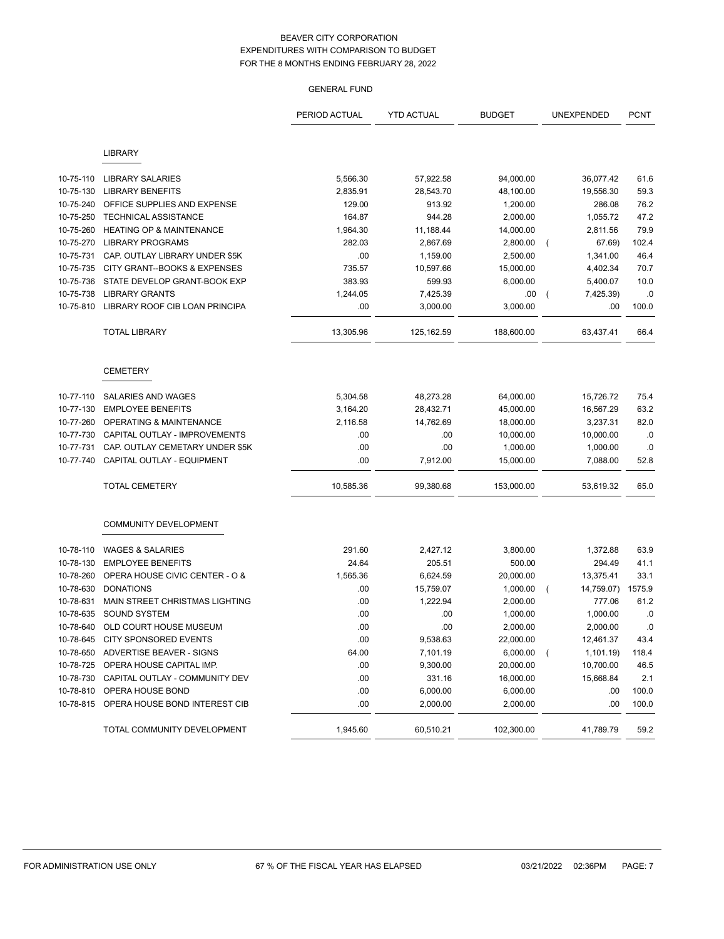# GENERAL FUND

|           |                                     | PERIOD ACTUAL | <b>YTD ACTUAL</b> | <b>BUDGET</b> |          | UNEXPENDED | <b>PCNT</b> |
|-----------|-------------------------------------|---------------|-------------------|---------------|----------|------------|-------------|
|           | <b>LIBRARY</b>                      |               |                   |               |          |            |             |
|           |                                     |               |                   |               |          |            |             |
| 10-75-110 | <b>LIBRARY SALARIES</b>             | 5,566.30      | 57,922.58         | 94,000.00     |          | 36,077.42  | 61.6        |
| 10-75-130 | <b>LIBRARY BENEFITS</b>             | 2,835.91      | 28,543.70         | 48,100.00     |          | 19,556.30  | 59.3        |
| 10-75-240 | OFFICE SUPPLIES AND EXPENSE         | 129.00        | 913.92            | 1,200.00      |          | 286.08     | 76.2        |
| 10-75-250 | TECHNICAL ASSISTANCE                | 164.87        | 944.28            | 2,000.00      |          | 1,055.72   | 47.2        |
| 10-75-260 | <b>HEATING OP &amp; MAINTENANCE</b> | 1,964.30      | 11,188.44         | 14,000.00     |          | 2,811.56   | 79.9        |
| 10-75-270 | <b>LIBRARY PROGRAMS</b>             | 282.03        | 2,867.69          | 2,800.00      |          | 67.69)     | 102.4       |
| 10-75-731 | CAP. OUTLAY LIBRARY UNDER \$5K      | .00           | 1,159.00          | 2,500.00      |          | 1,341.00   | 46.4        |
| 10-75-735 | CITY GRANT--BOOKS & EXPENSES        | 735.57        | 10,597.66         | 15,000.00     |          | 4,402.34   | 70.7        |
| 10-75-736 | STATE DEVELOP GRANT-BOOK EXP        | 383.93        | 599.93            | 6,000.00      |          | 5,400.07   | 10.0        |
| 10-75-738 | <b>LIBRARY GRANTS</b>               | 1,244.05      | 7,425.39          | .00           |          | 7,425.39)  | .0          |
| 10-75-810 | LIBRARY ROOF CIB LOAN PRINCIPA      | .00           | 3,000.00          | 3,000.00      |          | .00        | 100.0       |
|           | <b>TOTAL LIBRARY</b>                | 13,305.96     | 125, 162.59       | 188,600.00    |          | 63,437.41  | 66.4        |
|           | <b>CEMETERY</b>                     |               |                   |               |          |            |             |
| 10-77-110 | SALARIES AND WAGES                  | 5,304.58      | 48,273.28         | 64,000.00     |          | 15,726.72  | 75.4        |
| 10-77-130 | <b>EMPLOYEE BENEFITS</b>            | 3,164.20      | 28,432.71         | 45,000.00     |          | 16,567.29  | 63.2        |
| 10-77-260 | OPERATING & MAINTENANCE             | 2,116.58      | 14,762.69         | 18,000.00     |          | 3,237.31   | 82.0        |
| 10-77-730 | CAPITAL OUTLAY - IMPROVEMENTS       | .00           | .00               | 10,000.00     |          | 10,000.00  | .0          |
| 10-77-731 | CAP. OUTLAY CEMETARY UNDER \$5K     | .00           | .00               | 1,000.00      |          | 1,000.00   | .0          |
| 10-77-740 | CAPITAL OUTLAY - EQUIPMENT          | .00           | 7,912.00          | 15,000.00     |          | 7,088.00   | 52.8        |
|           | <b>TOTAL CEMETERY</b>               | 10,585.36     | 99,380.68         | 153,000.00    |          | 53,619.32  | 65.0        |
|           | COMMUNITY DEVELOPMENT               |               |                   |               |          |            |             |
| 10-78-110 | <b>WAGES &amp; SALARIES</b>         | 291.60        | 2,427.12          | 3,800.00      |          | 1,372.88   | 63.9        |
| 10-78-130 | <b>EMPLOYEE BENEFITS</b>            | 24.64         | 205.51            | 500.00        |          | 294.49     | 41.1        |
| 10-78-260 | OPERA HOUSE CIVIC CENTER - O &      | 1,565.36      | 6,624.59          | 20,000.00     |          | 13,375.41  | 33.1        |
| 10-78-630 | <b>DONATIONS</b>                    | .00           | 15,759.07         | 1,000.00      | $\left($ | 14,759.07) | 1575.9      |
| 10-78-631 | MAIN STREET CHRISTMAS LIGHTING      | .00           | 1,222.94          | 2,000.00      |          | 777.06     | 61.2        |
| 10-78-635 | <b>SOUND SYSTEM</b>                 | .00           | .00               | 1,000.00      |          | 1,000.00   | .0          |
| 10-78-640 | OLD COURT HOUSE MUSEUM              | .00           | .00               | 2,000.00      |          | 2,000.00   | .0          |
| 10-78-645 | CITY SPONSORED EVENTS               | .00           | 9,538.63          | 22,000.00     |          | 12,461.37  | 43.4        |
| 10-78-650 | ADVERTISE BEAVER - SIGNS            | 64.00         | 7,101.19          | 6,000.00      | $\left($ | 1,101.19)  | 118.4       |
| 10-78-725 | OPERA HOUSE CAPITAL IMP.            | .00           | 9,300.00          | 20,000.00     |          | 10,700.00  | 46.5        |
| 10-78-730 | CAPITAL OUTLAY - COMMUNITY DEV      | .00           | 331.16            | 16,000.00     |          | 15,668.84  | 2.1         |
| 10-78-810 | OPERA HOUSE BOND                    | .00           | 6,000.00          | 6,000.00      |          | .00        | 100.0       |
| 10-78-815 | OPERA HOUSE BOND INTEREST CIB       | .00           | 2,000.00          | 2,000.00      |          | .00        | 100.0       |
|           | TOTAL COMMUNITY DEVELOPMENT         | 1,945.60      | 60,510.21         | 102,300.00    |          | 41,789.79  | 59.2        |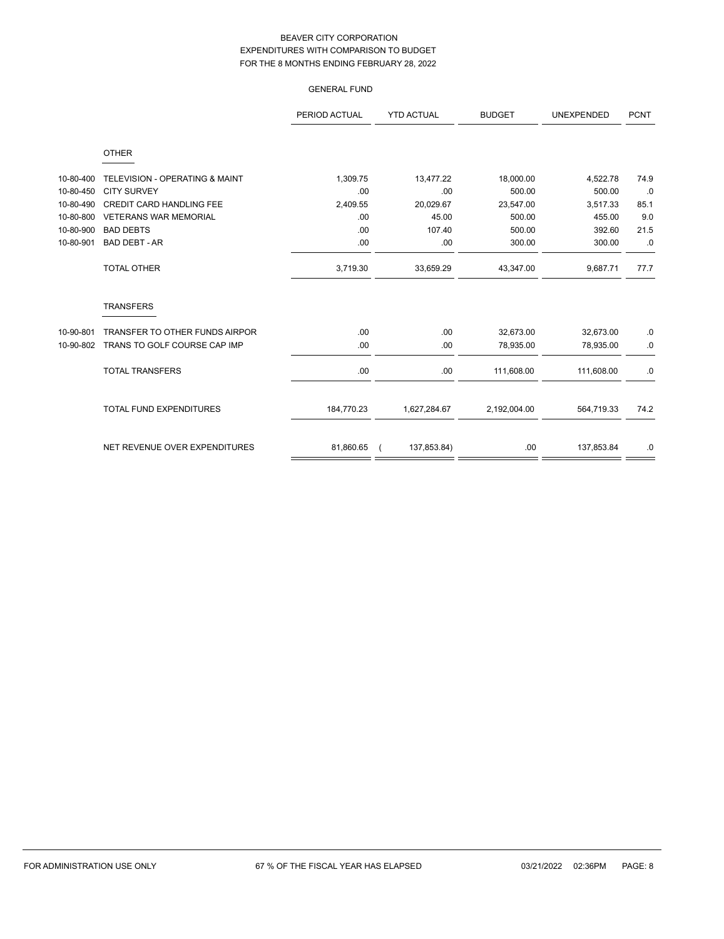|           |                                | <b>GENERAL FUND</b> |                   |               |                   |             |
|-----------|--------------------------------|---------------------|-------------------|---------------|-------------------|-------------|
|           |                                | PERIOD ACTUAL       | <b>YTD ACTUAL</b> | <b>BUDGET</b> | <b>UNEXPENDED</b> | <b>PCNT</b> |
|           | <b>OTHER</b>                   |                     |                   |               |                   |             |
| 10-80-400 | TELEVISION - OPERATING & MAINT | 1,309.75            | 13,477.22         | 18,000.00     | 4,522.78          | 74.9        |
| 10-80-450 | <b>CITY SURVEY</b>             | .00                 | .00               | 500.00        | 500.00            | .0          |
| 10-80-490 | CREDIT CARD HANDLING FEE       | 2,409.55            | 20,029.67         | 23,547.00     | 3,517.33          | 85.1        |
| 10-80-800 | <b>VETERANS WAR MEMORIAL</b>   | .00                 | 45.00             | 500.00        | 455.00            | 9.0         |
| 10-80-900 | <b>BAD DEBTS</b>               | .00                 | 107.40            | 500.00        | 392.60            | 21.5        |
| 10-80-901 | <b>BAD DEBT - AR</b>           | .00                 | .00               | 300.00        | 300.00            | .0          |
|           | TOTAL OTHER                    | 3,719.30            | 33,659.29         | 43,347.00     | 9,687.71          | 77.7        |
|           | <b>TRANSFERS</b>               |                     |                   |               |                   |             |
| 10-90-801 | TRANSFER TO OTHER FUNDS AIRPOR | .00                 | .00               | 32,673.00     | 32,673.00         | .0          |
| 10-90-802 | TRANS TO GOLF COURSE CAP IMP   | .00                 | .00               | 78,935.00     | 78,935.00         | .0          |
|           | <b>TOTAL TRANSFERS</b>         | .00                 | .00               | 111,608.00    | 111,608.00        | .0          |
|           | <b>TOTAL FUND EXPENDITURES</b> | 184,770.23          | 1,627,284.67      | 2,192,004.00  | 564,719.33        | 74.2        |
|           | NET REVENUE OVER EXPENDITURES  | 81,860.65           | 137,853.84)       | .00.          | 137,853.84        | .0          |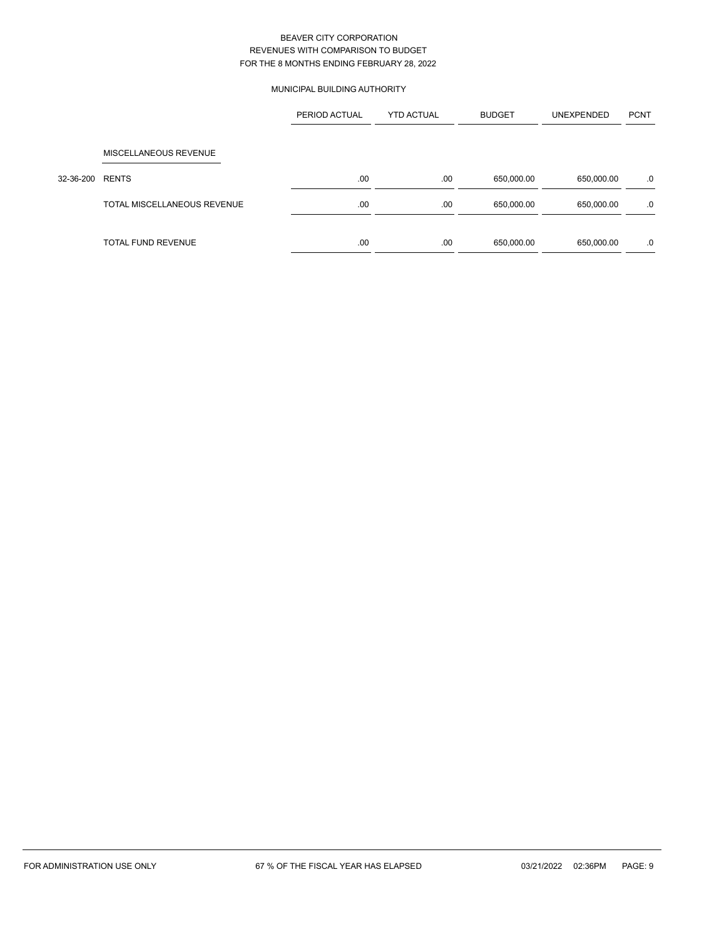# MUNICIPAL BUILDING AUTHORITY

|           |                             | PERIOD ACTUAL | <b>YTD ACTUAL</b> | <b>BUDGET</b> | <b>UNEXPENDED</b> | <b>PCNT</b> |
|-----------|-----------------------------|---------------|-------------------|---------------|-------------------|-------------|
|           | MISCELLANEOUS REVENUE       |               |                   |               |                   |             |
| 32-36-200 | <b>RENTS</b>                | .00           | .00               | 650,000.00    | 650,000.00        | .0          |
|           | TOTAL MISCELLANEOUS REVENUE | .00           | .00               | 650,000.00    | 650,000.00        | .0          |
|           | <b>TOTAL FUND REVENUE</b>   | .00           | .00               | 650,000.00    | 650,000.00        | .0          |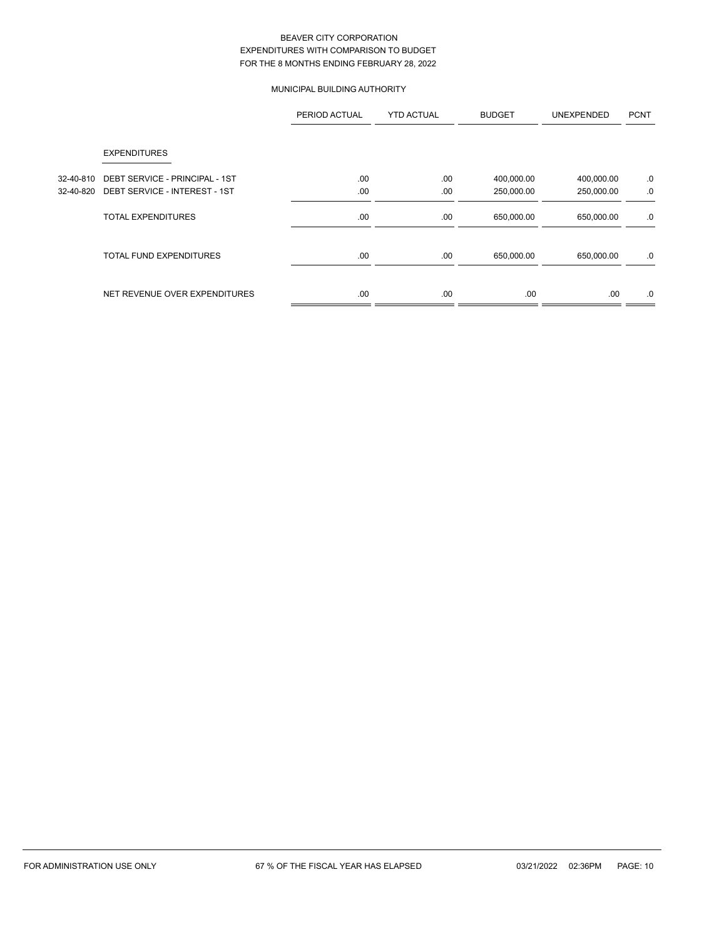# MUNICIPAL BUILDING AUTHORITY

|           |                                | PERIOD ACTUAL | <b>YTD ACTUAL</b> | <b>BUDGET</b> | <b>UNEXPENDED</b> | <b>PCNT</b> |
|-----------|--------------------------------|---------------|-------------------|---------------|-------------------|-------------|
|           | <b>EXPENDITURES</b>            |               |                   |               |                   |             |
| 32-40-810 | DEBT SERVICE - PRINCIPAL - 1ST | .00           | .00               | 400,000.00    | 400,000.00        | .0          |
| 32-40-820 | DEBT SERVICE - INTEREST - 1ST  | .00           | .00               | 250,000.00    | 250,000.00        | .0          |
|           | <b>TOTAL EXPENDITURES</b>      | .00.          | .00               | 650,000.00    | 650,000.00        | .0          |
|           | <b>TOTAL FUND EXPENDITURES</b> | .00.          | .00               | 650,000.00    | 650,000.00        | .0          |
|           | NET REVENUE OVER EXPENDITURES  | .00.          | .00               | .00           | .00.              | .0          |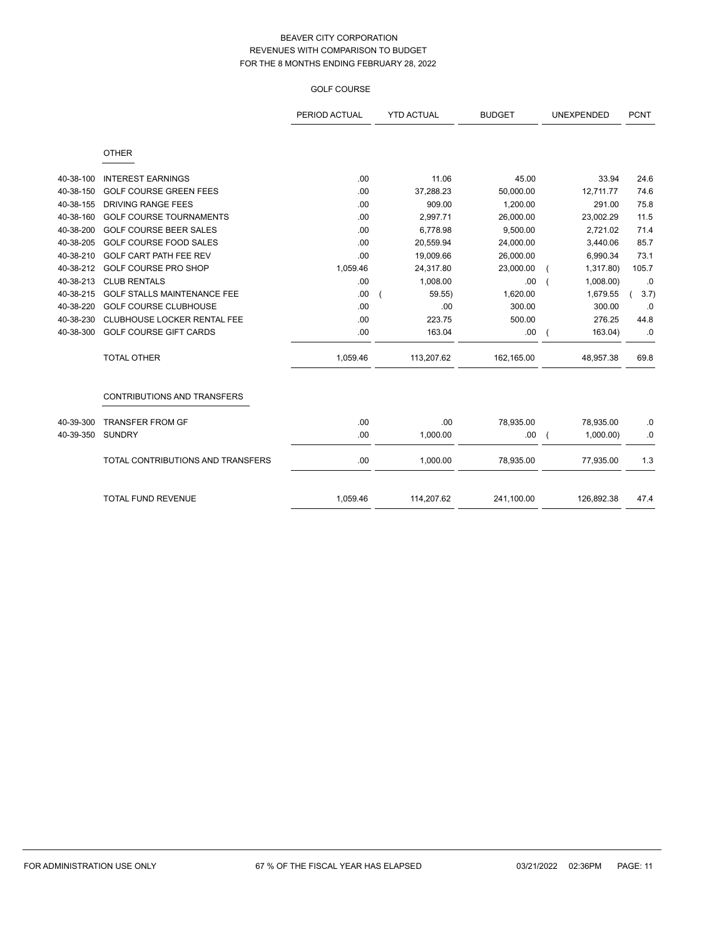# GOLF COURSE

|           |                                    | PERIOD ACTUAL | <b>YTD ACTUAL</b> | <b>BUDGET</b> | UNEXPENDED                 | <b>PCNT</b> |
|-----------|------------------------------------|---------------|-------------------|---------------|----------------------------|-------------|
|           | <b>OTHER</b>                       |               |                   |               |                            |             |
| 40-38-100 | <b>INTEREST EARNINGS</b>           | .00           | 11.06             | 45.00         | 33.94                      | 24.6        |
| 40-38-150 | <b>GOLF COURSE GREEN FEES</b>      | .00           | 37,288.23         | 50,000.00     | 12,711.77                  | 74.6        |
| 40-38-155 | <b>DRIVING RANGE FEES</b>          | .00           | 909.00            | 1,200.00      | 291.00                     | 75.8        |
| 40-38-160 | <b>GOLF COURSE TOURNAMENTS</b>     | .00           | 2,997.71          | 26,000.00     | 23,002.29                  | 11.5        |
| 40-38-200 | <b>GOLF COURSE BEER SALES</b>      | .00           | 6,778.98          | 9,500.00      | 2,721.02                   | 71.4        |
| 40-38-205 | <b>GOLF COURSE FOOD SALES</b>      | .00           | 20,559.94         | 24,000.00     | 3,440.06                   | 85.7        |
| 40-38-210 | GOLF CART PATH FEE REV             | .00           | 19,009.66         | 26,000.00     | 6,990.34                   | 73.1        |
| 40-38-212 | <b>GOLF COURSE PRO SHOP</b>        | 1,059.46      | 24,317.80         | 23,000.00     | 1,317.80)                  | 105.7       |
| 40-38-213 | <b>CLUB RENTALS</b>                | .00           | 1,008.00          | .00           | 1,008.00                   | .0          |
| 40-38-215 | <b>GOLF STALLS MAINTENANCE FEE</b> | .00           | 59.55             | 1,620.00      | 1,679.55                   | 3.7)        |
| 40-38-220 | <b>GOLF COURSE CLUBHOUSE</b>       | .00           | .00               | 300.00        | 300.00                     | .0          |
| 40-38-230 | CLUBHOUSE LOCKER RENTAL FEE        | .00           | 223.75            | 500.00        | 276.25                     | 44.8        |
| 40-38-300 | <b>GOLF COURSE GIFT CARDS</b>      | .00           | 163.04            | .00           | 163.04)                    | .0          |
|           | <b>TOTAL OTHER</b>                 | 1,059.46      | 113,207.62        | 162,165.00    | 48,957.38                  | 69.8        |
|           | CONTRIBUTIONS AND TRANSFERS        |               |                   |               |                            |             |
| 40-39-300 | <b>TRANSFER FROM GF</b>            | .00           | .00               | 78,935.00     | 78,935.00                  | .0          |
| 40-39-350 | <b>SUNDRY</b>                      | .00           | 1,000.00          | .00.          | 1,000.00<br>$\overline{ }$ | .0          |
|           | TOTAL CONTRIBUTIONS AND TRANSFERS  | .00           | 1,000.00          | 78,935.00     | 77,935.00                  | 1.3         |
|           | <b>TOTAL FUND REVENUE</b>          | 1,059.46      | 114,207.62        | 241,100.00    | 126,892.38                 | 47.4        |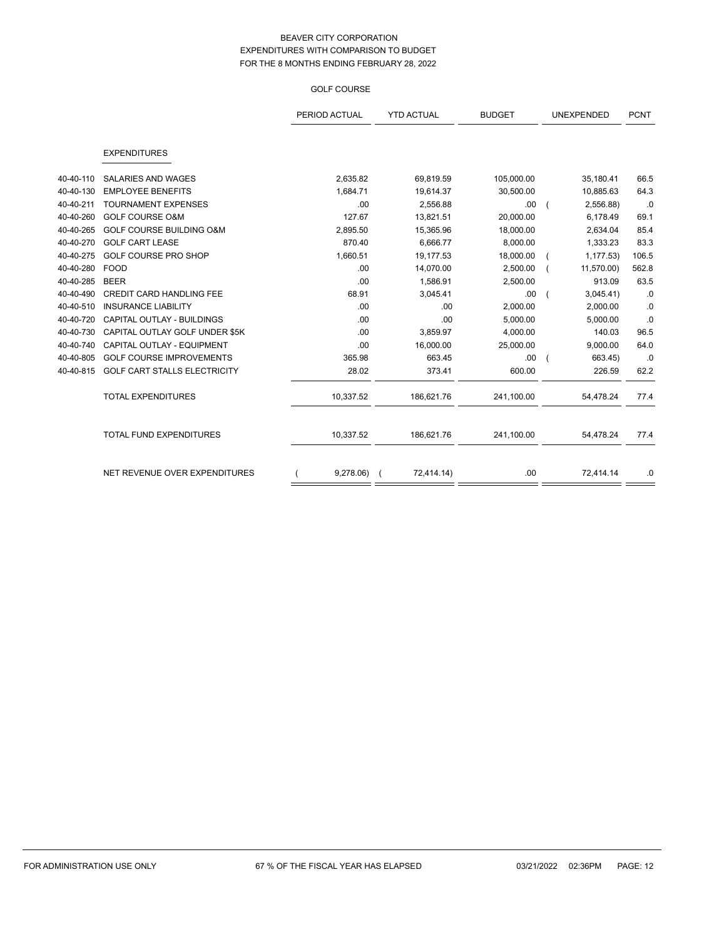## GOLF COURSE

|           |                                 | PERIOD ACTUAL | <b>YTD ACTUAL</b> | <b>BUDGET</b> | UNEXPENDED |            | <b>PCNT</b> |
|-----------|---------------------------------|---------------|-------------------|---------------|------------|------------|-------------|
|           | <b>EXPENDITURES</b>             |               |                   |               |            |            |             |
| 40-40-110 | <b>SALARIES AND WAGES</b>       | 2,635.82      | 69,819.59         | 105,000.00    |            | 35,180.41  | 66.5        |
| 40-40-130 | <b>EMPLOYEE BENEFITS</b>        | 1,684.71      | 19,614.37         | 30,500.00     |            | 10,885.63  | 64.3        |
| 40-40-211 | <b>TOURNAMENT EXPENSES</b>      | .00           | 2,556.88          | .00.          |            | 2,556.88)  | .0          |
| 40-40-260 | <b>GOLF COURSE O&amp;M</b>      | 127.67        | 13,821.51         | 20,000.00     |            | 6,178.49   | 69.1        |
| 40-40-265 | GOLF COURSE BUILDING O&M        | 2,895.50      | 15,365.96         | 18,000.00     |            | 2,634.04   | 85.4        |
| 40-40-270 | <b>GOLF CART LEASE</b>          | 870.40        | 6,666.77          | 8,000.00      |            | 1,333.23   | 83.3        |
| 40-40-275 | <b>GOLF COURSE PRO SHOP</b>     | 1,660.51      | 19,177.53         | 18,000.00     |            | 1, 177.53  | 106.5       |
| 40-40-280 | <b>FOOD</b>                     | .00           | 14,070.00         | 2,500.00      |            | 11,570.00) | 562.8       |
| 40-40-285 | <b>BEER</b>                     | .00           | 1,586.91          | 2,500.00      |            | 913.09     | 63.5        |
| 40-40-490 | <b>CREDIT CARD HANDLING FEE</b> | 68.91         | 3,045.41          | .00.          |            | 3,045.41   | .0          |
| 40-40-510 | <b>INSURANCE LIABILITY</b>      | .00           | .00               | 2,000.00      |            | 2,000.00   | $.0\,$      |
| 40-40-720 | CAPITAL OUTLAY - BUILDINGS      | .00           | .00               | 5,000.00      |            | 5,000.00   | .0          |
| 40-40-730 | CAPITAL OUTLAY GOLF UNDER \$5K  | .00           | 3,859.97          | 4,000.00      |            | 140.03     | 96.5        |
| 40-40-740 | CAPITAL OUTLAY - EQUIPMENT      | .00           | 16,000.00         | 25,000.00     |            | 9,000.00   | 64.0        |
| 40-40-805 | <b>GOLF COURSE IMPROVEMENTS</b> | 365.98        | 663.45            | .00.          |            | 663.45)    | .0          |
| 40-40-815 | GOLF CART STALLS ELECTRICITY    | 28.02         | 373.41            | 600.00        |            | 226.59     | 62.2        |
|           | <b>TOTAL EXPENDITURES</b>       | 10,337.52     | 186,621.76        | 241,100.00    |            | 54,478.24  | 77.4        |
|           | TOTAL FUND EXPENDITURES         | 10,337.52     | 186,621.76        | 241,100.00    |            | 54,478.24  | 77.4        |
|           | NET REVENUE OVER EXPENDITURES   | 9,278.06      | 72,414.14)        | .00.          |            | 72,414.14  | .0          |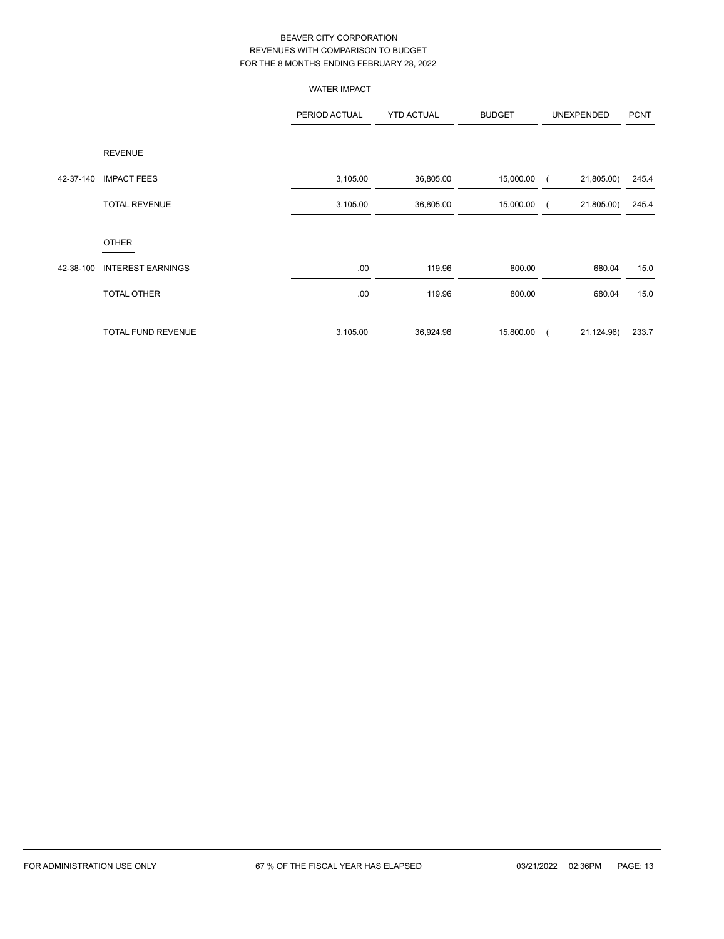|           |                          | <b>WATER IMPACT</b> |                   |               |            |            |             |
|-----------|--------------------------|---------------------|-------------------|---------------|------------|------------|-------------|
|           |                          | PERIOD ACTUAL       | <b>YTD ACTUAL</b> | <b>BUDGET</b> |            | UNEXPENDED | <b>PCNT</b> |
|           | <b>REVENUE</b>           |                     |                   |               |            |            |             |
| 42-37-140 | <b>IMPACT FEES</b>       | 3,105.00            | 36,805.00         | 15,000.00     | $\epsilon$ | 21,805.00) | 245.4       |
|           | <b>TOTAL REVENUE</b>     | 3,105.00            | 36,805.00         | 15,000.00     |            | 21,805.00) | 245.4       |
|           | <b>OTHER</b>             |                     |                   |               |            |            |             |
| 42-38-100 | <b>INTEREST EARNINGS</b> | .00                 | 119.96            | 800.00        |            | 680.04     | 15.0        |
|           | TOTAL OTHER              | .00                 | 119.96            | 800.00        |            | 680.04     | 15.0        |
|           | TOTAL FUND REVENUE       | 3,105.00            | 36,924.96         | 15,800.00     | $\left($   | 21,124.96) | 233.7       |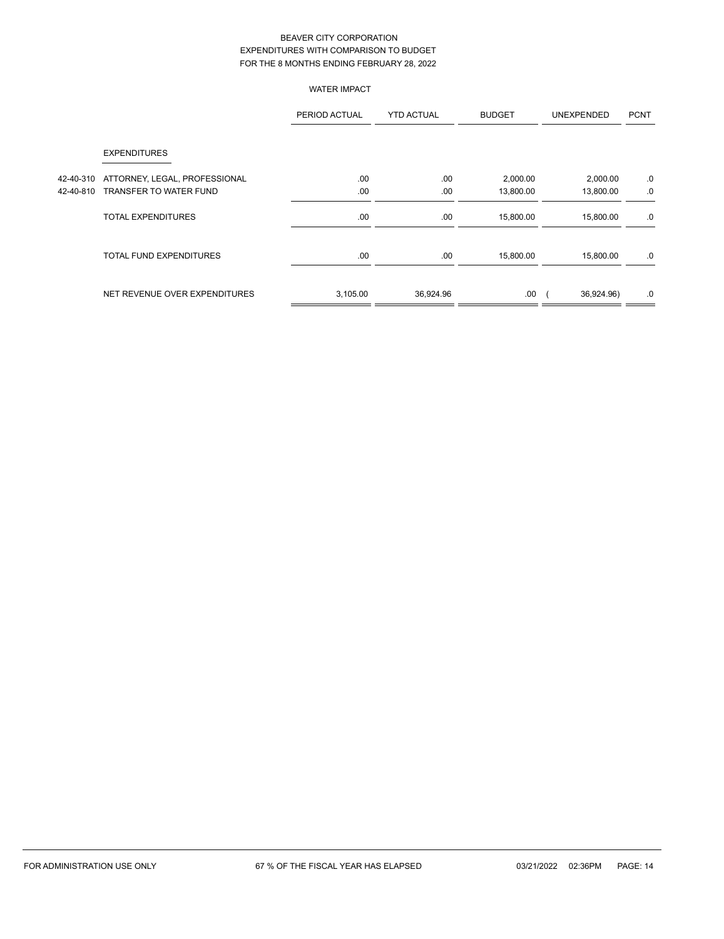WATER IMPACT

|           |                                | PERIOD ACTUAL | <b>YTD ACTUAL</b> | <b>BUDGET</b> | UNEXPENDED | <b>PCNT</b> |
|-----------|--------------------------------|---------------|-------------------|---------------|------------|-------------|
|           | <b>EXPENDITURES</b>            |               |                   |               |            |             |
| 42-40-310 | ATTORNEY, LEGAL, PROFESSIONAL  | .00           | .00               | 2,000.00      | 2,000.00   | .0          |
| 42-40-810 | TRANSFER TO WATER FUND         | .00           | .00               | 13,800.00     | 13,800.00  | .0          |
|           | <b>TOTAL EXPENDITURES</b>      | .00.          | .00.              | 15,800.00     | 15,800.00  | .0          |
|           | <b>TOTAL FUND EXPENDITURES</b> | .00.          | .00               | 15,800.00     | 15,800.00  | .0          |
|           | NET REVENUE OVER EXPENDITURES  | 3,105.00      | 36,924.96         | .00.          | 36,924.96) | .0          |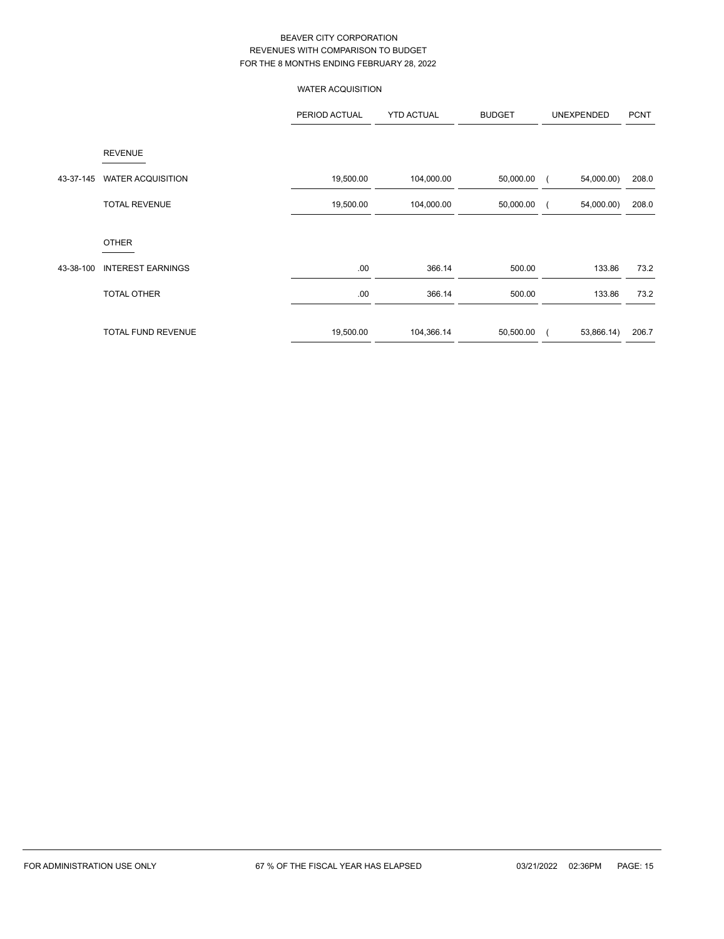WATER ACQUISITION

|           |                           | PERIOD ACTUAL | <b>YTD ACTUAL</b> | <b>BUDGET</b> | UNEXPENDED | <b>PCNT</b> |
|-----------|---------------------------|---------------|-------------------|---------------|------------|-------------|
|           | <b>REVENUE</b>            |               |                   |               |            |             |
| 43-37-145 | <b>WATER ACQUISITION</b>  | 19,500.00     | 104,000.00        | 50,000.00     | 54,000.00) | 208.0       |
|           | <b>TOTAL REVENUE</b>      | 19,500.00     | 104,000.00        | 50,000.00     | 54,000.00) | 208.0       |
|           | <b>OTHER</b>              |               |                   |               |            |             |
| 43-38-100 | <b>INTEREST EARNINGS</b>  | .00.          | 366.14            | 500.00        | 133.86     | 73.2        |
|           | <b>TOTAL OTHER</b>        | .00.          | 366.14            | 500.00        | 133.86     | 73.2        |
|           | <b>TOTAL FUND REVENUE</b> | 19,500.00     | 104,366.14        | 50,500.00     | 53,866.14) | 206.7       |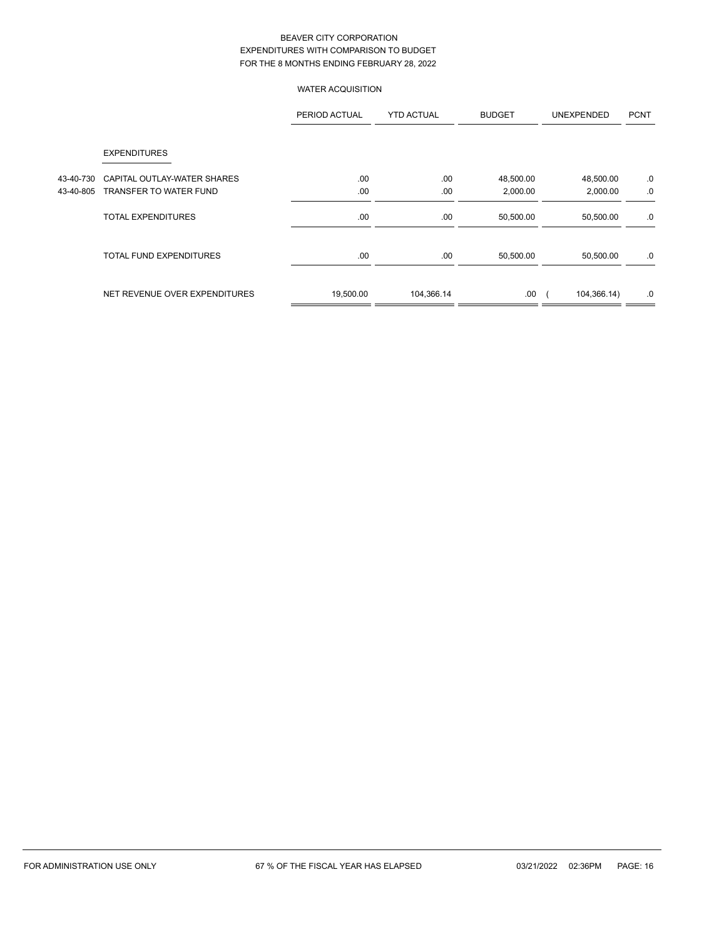# WATER ACQUISITION

|           |                                | PERIOD ACTUAL | <b>YTD ACTUAL</b> | <b>BUDGET</b> | <b>UNEXPENDED</b> | <b>PCNT</b> |
|-----------|--------------------------------|---------------|-------------------|---------------|-------------------|-------------|
|           | <b>EXPENDITURES</b>            |               |                   |               |                   |             |
| 43-40-730 | CAPITAL OUTLAY-WATER SHARES    | .00.          | .00               | 48,500.00     | 48,500.00         | .0          |
| 43-40-805 | TRANSFER TO WATER FUND         | .00           | .00               | 2,000.00      | 2,000.00          | .0          |
|           | TOTAL EXPENDITURES             | .00.          | .00               | 50,500.00     | 50,500.00         | .0          |
|           | <b>TOTAL FUND EXPENDITURES</b> | .00           | .00               | 50,500.00     | 50,500.00         | .0          |
|           | NET REVENUE OVER EXPENDITURES  | 19,500.00     | 104,366.14        | .00           | 104,366.14)       | .0          |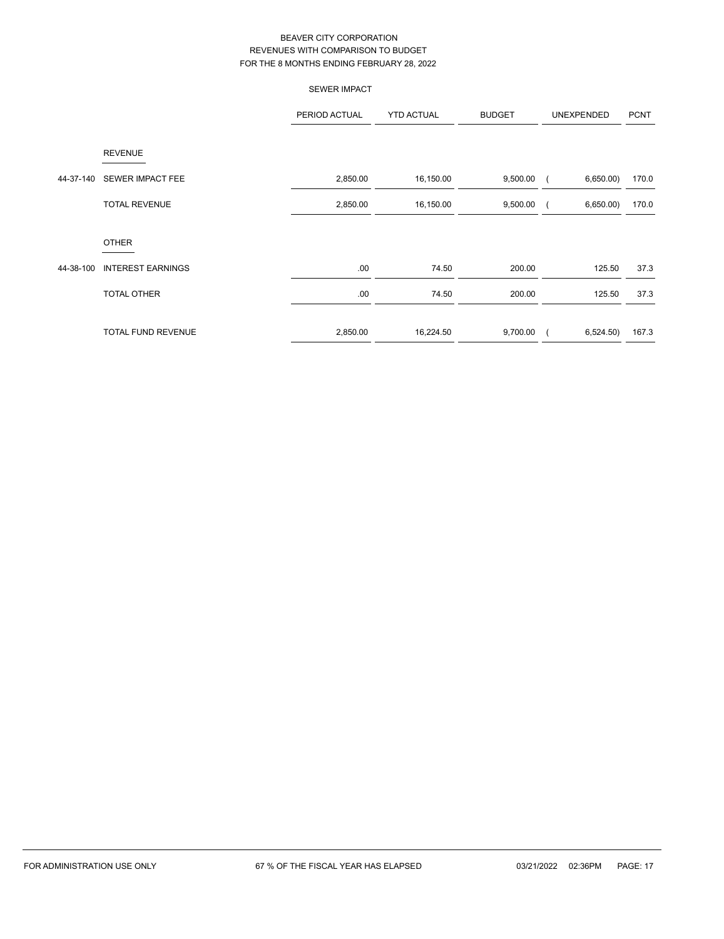|           |                           | <b>SEWER IMPACT</b> |                   |               |                       |             |
|-----------|---------------------------|---------------------|-------------------|---------------|-----------------------|-------------|
|           |                           | PERIOD ACTUAL       | <b>YTD ACTUAL</b> | <b>BUDGET</b> | UNEXPENDED            | <b>PCNT</b> |
|           | <b>REVENUE</b>            |                     |                   |               |                       |             |
| 44-37-140 | SEWER IMPACT FEE          | 2,850.00            | 16,150.00         | 9,500.00      | 6,650.00)<br>$\left($ | 170.0       |
|           | <b>TOTAL REVENUE</b>      | 2,850.00            | 16,150.00         | 9,500.00      | 6,650.00              | 170.0       |
|           | <b>OTHER</b>              |                     |                   |               |                       |             |
| 44-38-100 | <b>INTEREST EARNINGS</b>  | .00                 | 74.50             | 200.00        | 125.50                | 37.3        |
|           | <b>TOTAL OTHER</b>        | .00                 | 74.50             | 200.00        | 125.50                | 37.3        |
|           | <b>TOTAL FUND REVENUE</b> | 2,850.00            | 16,224.50         | 9,700.00      | 6,524.50)<br>$\left($ | 167.3       |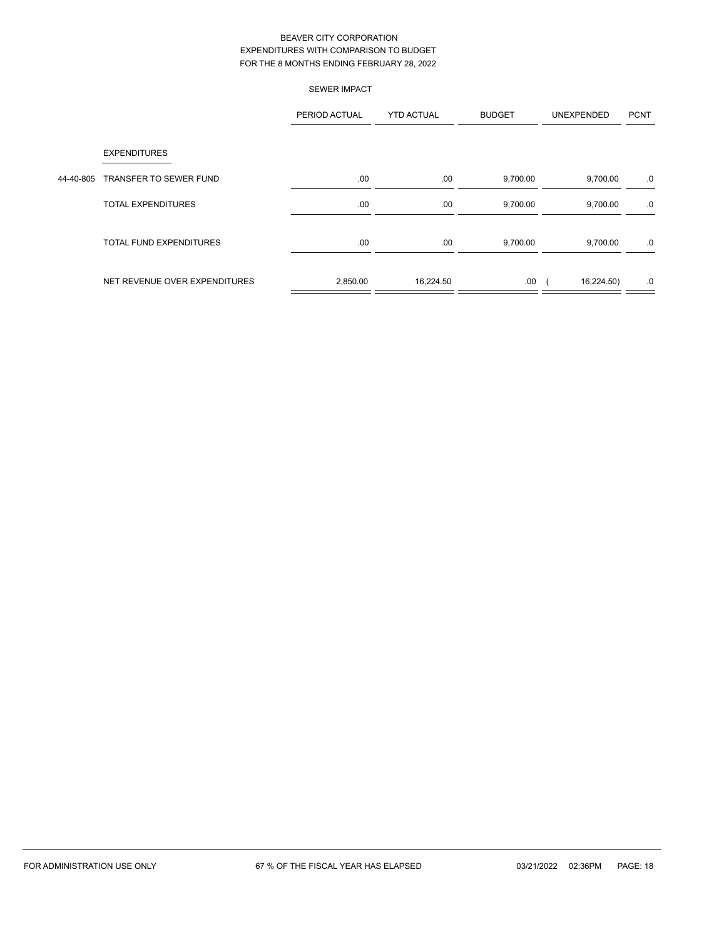|           |                                | <b>SEWER IMPACT</b> |                   |               |            |             |
|-----------|--------------------------------|---------------------|-------------------|---------------|------------|-------------|
|           |                                | PERIOD ACTUAL       | <b>YTD ACTUAL</b> | <b>BUDGET</b> | UNEXPENDED | <b>PCNT</b> |
|           | <b>EXPENDITURES</b>            |                     |                   |               |            |             |
| 44-40-805 | <b>TRANSFER TO SEWER FUND</b>  | .00                 | .00.              | 9,700.00      | 9,700.00   | .0          |
|           | TOTAL EXPENDITURES             | .00                 | .00.              | 9,700.00      | 9,700.00   | .0          |
|           | <b>TOTAL FUND EXPENDITURES</b> | .00                 | .00               | 9,700.00      | 9,700.00   | .0          |
|           | NET REVENUE OVER EXPENDITURES  | 2,850.00            | 16,224.50         | .00.          | 16,224.50) | .0          |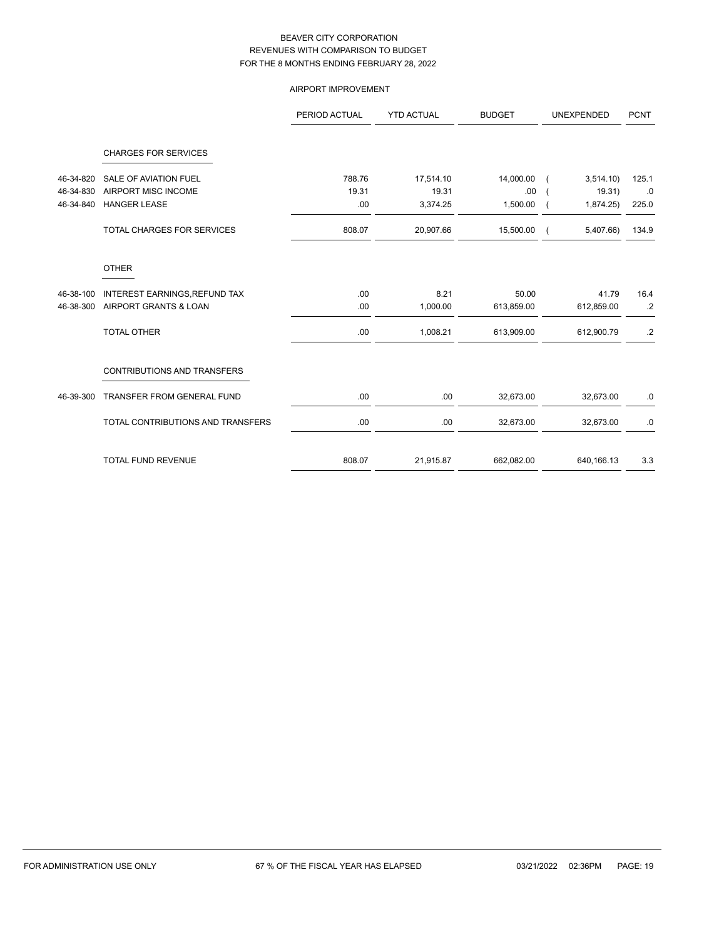# AIRPORT IMPROVEMENT

|           |                                    | PERIOD ACTUAL | <b>YTD ACTUAL</b> | <b>BUDGET</b> | UNEXPENDED | <b>PCNT</b>     |
|-----------|------------------------------------|---------------|-------------------|---------------|------------|-----------------|
|           | <b>CHARGES FOR SERVICES</b>        |               |                   |               |            |                 |
| 46-34-820 | <b>SALE OF AVIATION FUEL</b>       | 788.76        | 17,514.10         | 14,000.00     | 3,514.10   | 125.1           |
| 46-34-830 | AIRPORT MISC INCOME                | 19.31         | 19.31             | .00           | 19.31)     | .0              |
| 46-34-840 | <b>HANGER LEASE</b>                | .00           | 3,374.25          | 1,500.00      | 1,874.25)  | 225.0           |
|           | <b>TOTAL CHARGES FOR SERVICES</b>  | 808.07        | 20,907.66         | 15,500.00     | 5,407.66)  | 134.9           |
|           | <b>OTHER</b>                       |               |                   |               |            |                 |
| 46-38-100 | INTEREST EARNINGS, REFUND TAX      | .00           | 8.21              | 50.00         | 41.79      | 16.4            |
| 46-38-300 | AIRPORT GRANTS & LOAN              | .00           | 1,000.00          | 613,859.00    | 612,859.00 | $.2\phantom{0}$ |
|           | <b>TOTAL OTHER</b>                 | .00           | 1,008.21          | 613,909.00    | 612,900.79 | .2              |
|           | <b>CONTRIBUTIONS AND TRANSFERS</b> |               |                   |               |            |                 |
| 46-39-300 | TRANSFER FROM GENERAL FUND         | .00           | .00               | 32,673.00     | 32,673.00  | .0              |
|           | TOTAL CONTRIBUTIONS AND TRANSFERS  | .00           | .00               | 32,673.00     | 32,673.00  | .0              |
|           | TOTAL FUND REVENUE                 | 808.07        | 21,915.87         | 662,082.00    | 640,166.13 | 3.3             |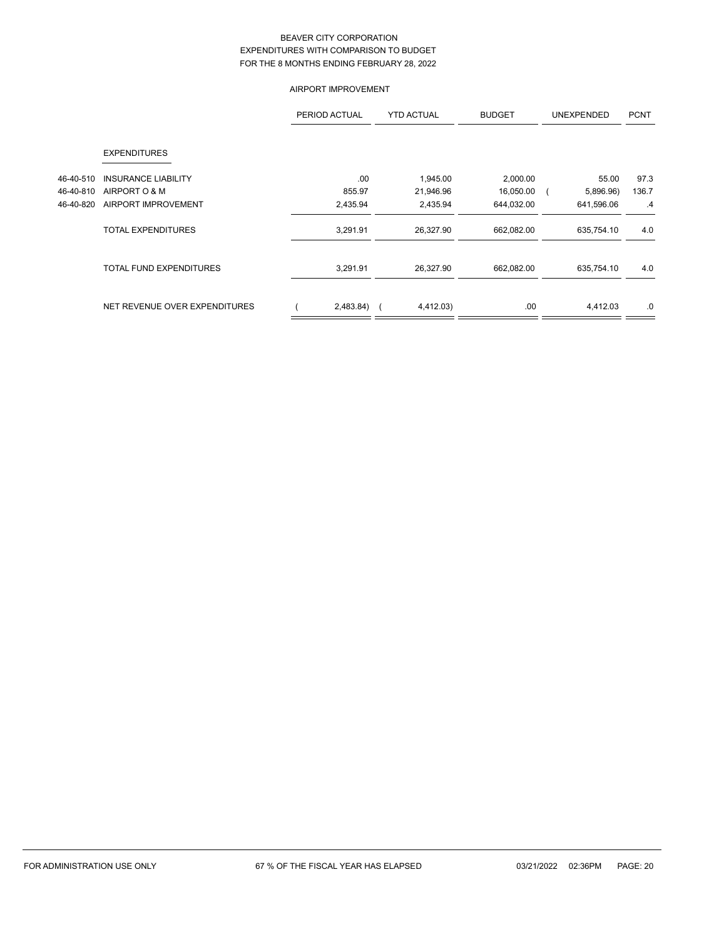# AIRPORT IMPROVEMENT

|           |                               | PERIOD ACTUAL | <b>YTD ACTUAL</b> | <b>BUDGET</b> | <b>UNEXPENDED</b> | <b>PCNT</b> |
|-----------|-------------------------------|---------------|-------------------|---------------|-------------------|-------------|
|           | <b>EXPENDITURES</b>           |               |                   |               |                   |             |
| 46-40-510 | <b>INSURANCE LIABILITY</b>    | .00           | 1,945.00          | 2,000.00      | 55.00             | 97.3        |
| 46-40-810 | AIRPORT O & M                 | 855.97        | 21,946.96         | 16,050.00     | 5,896.96)         | 136.7       |
| 46-40-820 | AIRPORT IMPROVEMENT           | 2,435.94      | 2,435.94          | 644,032.00    | 641,596.06        | .4          |
|           | <b>TOTAL EXPENDITURES</b>     | 3,291.91      | 26,327.90         | 662,082.00    | 635,754.10        | 4.0         |
|           | TOTAL FUND EXPENDITURES       | 3,291.91      | 26,327.90         | 662,082.00    | 635,754.10        | 4.0         |
|           | NET REVENUE OVER EXPENDITURES | 2,483.84)     | 4,412.03)         | .00           | 4,412.03          | .0          |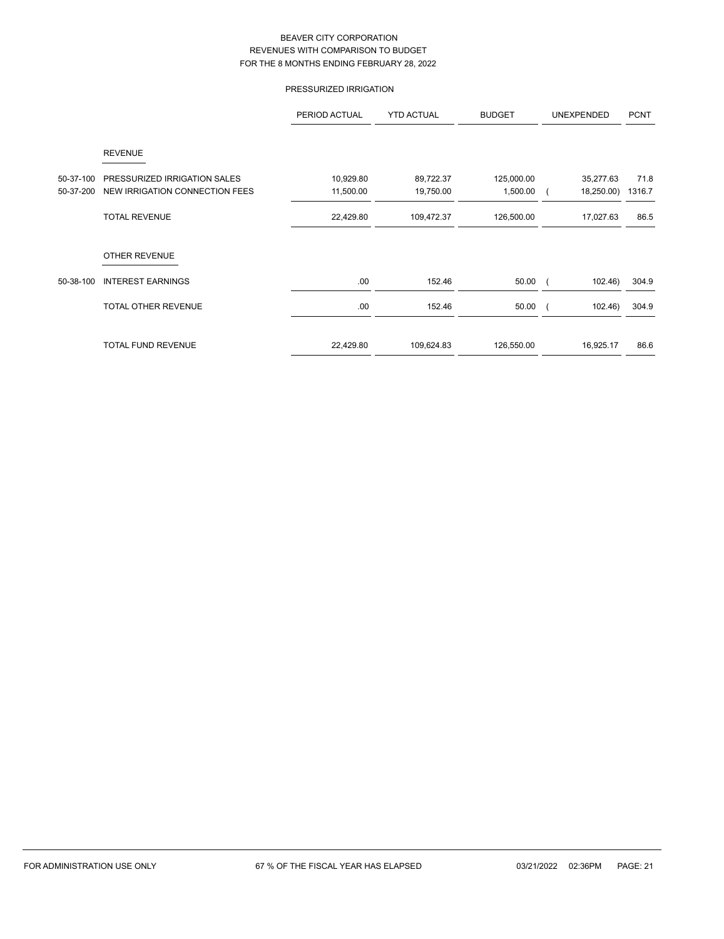# PRESSURIZED IRRIGATION

|           |                                | PERIOD ACTUAL | <b>YTD ACTUAL</b> | <b>BUDGET</b> | <b>UNEXPENDED</b> | <b>PCNT</b> |
|-----------|--------------------------------|---------------|-------------------|---------------|-------------------|-------------|
|           | <b>REVENUE</b>                 |               |                   |               |                   |             |
| 50-37-100 | PRESSURIZED IRRIGATION SALES   | 10,929.80     | 89,722.37         | 125,000.00    | 35,277.63         | 71.8        |
| 50-37-200 | NEW IRRIGATION CONNECTION FEES | 11,500.00     | 19,750.00         | 1,500.00      | 18,250.00)        | 1316.7      |
|           | <b>TOTAL REVENUE</b>           | 22,429.80     | 109,472.37        | 126,500.00    | 17,027.63         | 86.5        |
|           | <b>OTHER REVENUE</b>           |               |                   |               |                   |             |
| 50-38-100 | <b>INTEREST EARNINGS</b>       | .00           | 152.46            | 50.00         | 102.46            | 304.9       |
|           | <b>TOTAL OTHER REVENUE</b>     | .00           | 152.46            | 50.00         | 102.46            | 304.9       |
|           | <b>TOTAL FUND REVENUE</b>      | 22,429.80     | 109,624.83        | 126,550.00    | 16,925.17         | 86.6        |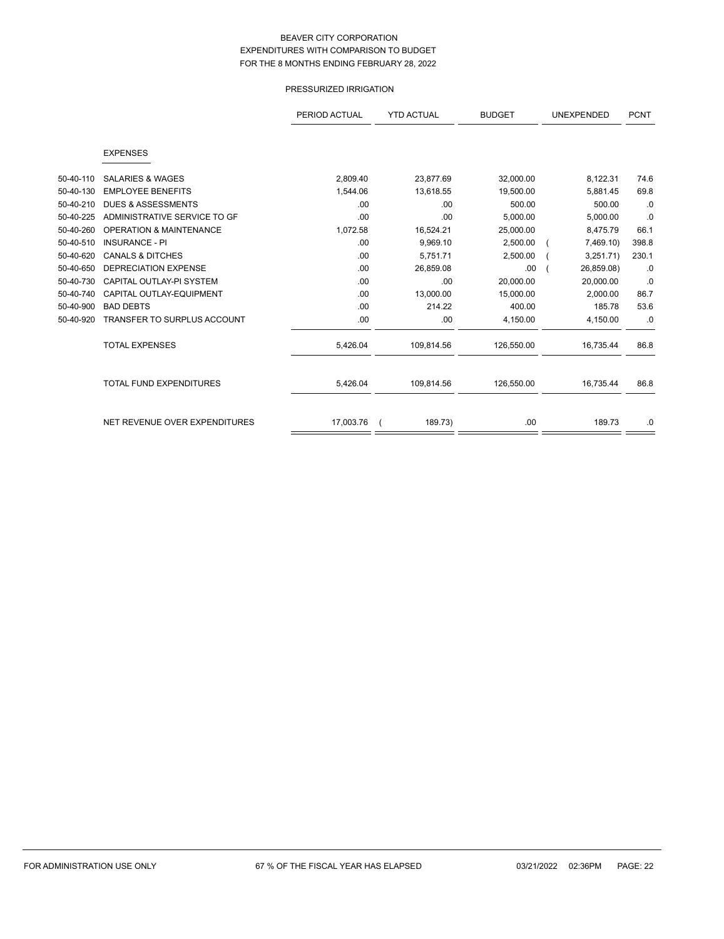# PRESSURIZED IRRIGATION

|           |                                    | PERIOD ACTUAL | <b>YTD ACTUAL</b> | <b>BUDGET</b> | UNEXPENDED | <b>PCNT</b> |
|-----------|------------------------------------|---------------|-------------------|---------------|------------|-------------|
|           |                                    |               |                   |               |            |             |
|           | <b>EXPENSES</b>                    |               |                   |               |            |             |
|           |                                    |               |                   |               |            |             |
| 50-40-110 | <b>SALARIES &amp; WAGES</b>        | 2.809.40      | 23,877.69         | 32,000.00     | 8,122.31   | 74.6        |
| 50-40-130 | <b>EMPLOYEE BENEFITS</b>           | 1,544.06      | 13,618.55         | 19,500.00     | 5.881.45   | 69.8        |
| 50-40-210 | <b>DUES &amp; ASSESSMENTS</b>      | .00           | .00               | 500.00        | 500.00     | .0          |
| 50-40-225 | ADMINISTRATIVE SERVICE TO GF       | .00           | .00               | 5,000.00      | 5,000.00   | .0          |
| 50-40-260 | <b>OPERATION &amp; MAINTENANCE</b> | 1,072.58      | 16,524.21         | 25,000.00     | 8,475.79   | 66.1        |
| 50-40-510 | <b>INSURANCE - PI</b>              | .00.          | 9,969.10          | 2,500.00      | 7,469.10)  | 398.8       |
| 50-40-620 | <b>CANALS &amp; DITCHES</b>        | .00           | 5,751.71          | 2,500.00      | 3,251.71)  | 230.1       |
| 50-40-650 | <b>DEPRECIATION EXPENSE</b>        | .00           | 26,859.08         | .00           | 26,859.08) | .0          |
| 50-40-730 | CAPITAL OUTLAY-PI SYSTEM           | .00           | .00               | 20,000.00     | 20,000.00  | .0          |
| 50-40-740 | CAPITAL OUTLAY-EQUIPMENT           | .00           | 13,000.00         | 15,000.00     | 2.000.00   | 86.7        |
| 50-40-900 | <b>BAD DEBTS</b>                   | .00           | 214.22            | 400.00        | 185.78     | 53.6        |
| 50-40-920 | <b>TRANSFER TO SURPLUS ACCOUNT</b> | .00           | .00               | 4,150.00      | 4,150.00   | .0          |
|           | <b>TOTAL EXPENSES</b>              | 5,426.04      | 109,814.56        | 126,550.00    | 16,735.44  | 86.8        |
|           | <b>TOTAL FUND EXPENDITURES</b>     | 5,426.04      | 109,814.56        | 126,550.00    | 16,735.44  | 86.8        |
|           | NET REVENUE OVER EXPENDITURES      | 17,003.76     | 189.73)           | .00           | 189.73     | .0          |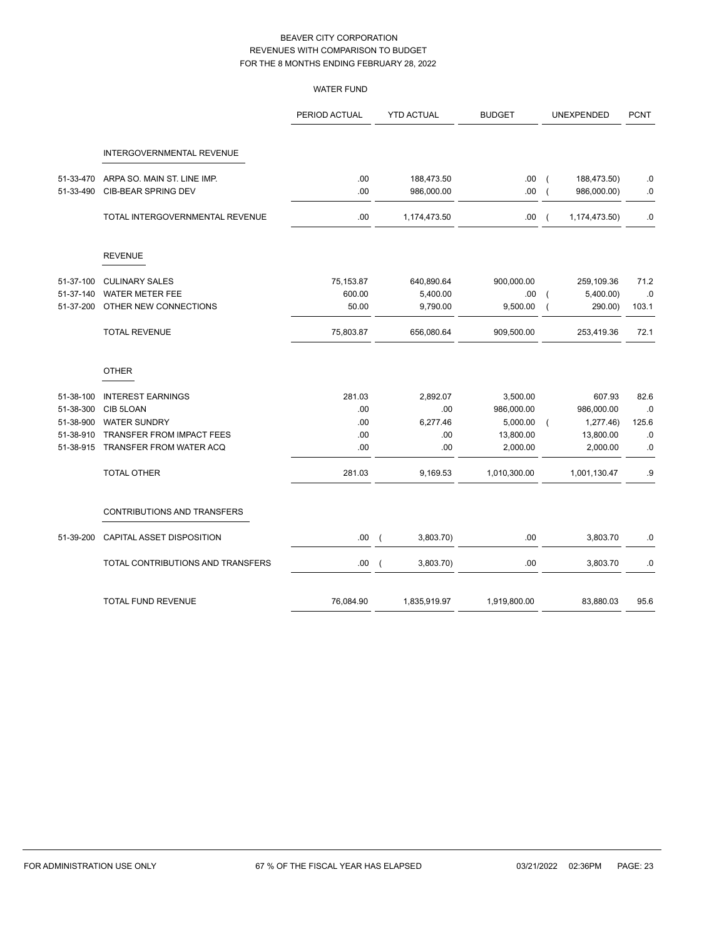|           |                                   | <b>WATER FUND</b> |                          |                   |               |                |               |             |
|-----------|-----------------------------------|-------------------|--------------------------|-------------------|---------------|----------------|---------------|-------------|
|           |                                   | PERIOD ACTUAL     |                          | <b>YTD ACTUAL</b> | <b>BUDGET</b> |                | UNEXPENDED    | <b>PCNT</b> |
|           | INTERGOVERNMENTAL REVENUE         |                   |                          |                   |               |                |               |             |
| 51-33-470 | ARPA SO. MAIN ST. LINE IMP.       | .00               |                          | 188,473.50        | .00           | $\overline{ }$ | 188,473.50)   | .0          |
| 51-33-490 | <b>CIB-BEAR SPRING DEV</b>        | .00               |                          | 986,000.00        | .00.          | $\overline{ }$ | 986,000.00)   | $\cdot$ 0   |
|           | TOTAL INTERGOVERNMENTAL REVENUE   | .00               |                          | 1,174,473.50      | .00.          | $\overline{ }$ | 1,174,473.50) | .0          |
|           | <b>REVENUE</b>                    |                   |                          |                   |               |                |               |             |
| 51-37-100 | <b>CULINARY SALES</b>             | 75,153.87         |                          | 640,890.64        | 900,000.00    |                | 259,109.36    | 71.2        |
| 51-37-140 | <b>WATER METER FEE</b>            | 600.00            |                          | 5,400.00          | .00.          |                | 5,400.00)     | .0          |
| 51-37-200 | OTHER NEW CONNECTIONS             | 50.00             |                          | 9,790.00          | 9,500.00      | $\overline{ }$ | 290.00)       | 103.1       |
|           | <b>TOTAL REVENUE</b>              | 75,803.87         |                          | 656,080.64        | 909,500.00    |                | 253,419.36    | 72.1        |
|           | <b>OTHER</b>                      |                   |                          |                   |               |                |               |             |
| 51-38-100 | <b>INTEREST EARNINGS</b>          | 281.03            |                          | 2,892.07          | 3,500.00      |                | 607.93        | 82.6        |
| 51-38-300 | CIB 5LOAN                         | .00               |                          | .00               | 986,000.00    |                | 986,000.00    | .0          |
| 51-38-900 | <b>WATER SUNDRY</b>               | .00               |                          | 6,277.46          | 5,000.00      | $\overline{ }$ | 1,277.46)     | 125.6       |
| 51-38-910 | <b>TRANSFER FROM IMPACT FEES</b>  | .00               |                          | .00.              | 13,800.00     |                | 13,800.00     | .0          |
| 51-38-915 | TRANSFER FROM WATER ACQ           | .00               |                          | .00               | 2,000.00      |                | 2,000.00      | 0.          |
|           | TOTAL OTHER                       | 281.03            |                          | 9,169.53          | 1,010,300.00  |                | 1,001,130.47  | .9          |
|           | CONTRIBUTIONS AND TRANSFERS       |                   |                          |                   |               |                |               |             |
| 51-39-200 | CAPITAL ASSET DISPOSITION         | .00               | $\overline{ }$           | 3,803.70)         | .00           |                | 3,803.70      | .0          |
|           | TOTAL CONTRIBUTIONS AND TRANSFERS | .00               | $\overline{\mathcal{L}}$ | 3,803.70)         | .00           |                | 3,803.70      | 0.0         |
|           | <b>TOTAL FUND REVENUE</b>         | 76,084.90         |                          | 1,835,919.97      | 1,919,800.00  |                | 83,880.03     | 95.6        |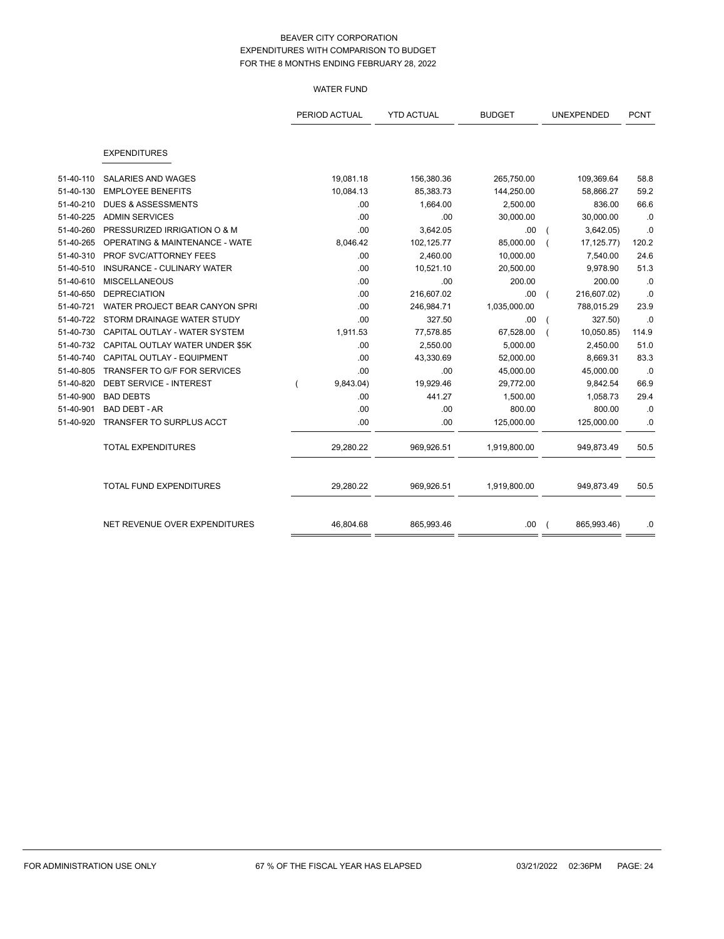## WATER FUND

|           |                                           | PERIOD ACTUAL |           | <b>YTD ACTUAL</b> | <b>BUDGET</b> | UNEXPENDED  | <b>PCNT</b> |
|-----------|-------------------------------------------|---------------|-----------|-------------------|---------------|-------------|-------------|
|           |                                           |               |           |                   |               |             |             |
|           | <b>EXPENDITURES</b>                       |               |           |                   |               |             |             |
| 51-40-110 | <b>SALARIES AND WAGES</b>                 |               | 19,081.18 | 156,380.36        | 265,750.00    | 109,369.64  | 58.8        |
| 51-40-130 | <b>EMPLOYEE BENEFITS</b>                  |               | 10,084.13 | 85,383.73         | 144,250.00    | 58,866.27   | 59.2        |
| 51-40-210 | <b>DUES &amp; ASSESSMENTS</b>             |               | .00       | 1,664.00          | 2,500.00      | 836.00      | 66.6        |
| 51-40-225 | <b>ADMIN SERVICES</b>                     |               | .00       | .00               | 30,000.00     | 30,000.00   | .0          |
| 51-40-260 | PRESSURIZED IRRIGATION O & M              |               | .00       | 3,642.05          | .00           | 3,642.05)   | .0          |
| 51-40-265 | <b>OPERATING &amp; MAINTENANCE - WATE</b> |               | 8,046.42  | 102,125.77        | 85,000.00     | 17,125.77)  | 120.2       |
| 51-40-310 | PROF SVC/ATTORNEY FEES                    |               | .00       | 2,460.00          | 10,000.00     | 7,540.00    | 24.6        |
| 51-40-510 | <b>INSURANCE - CULINARY WATER</b>         |               | .00       | 10,521.10         | 20,500.00     | 9,978.90    | 51.3        |
| 51-40-610 | <b>MISCELLANEOUS</b>                      |               | .00       | .00               | 200.00        | 200.00      | .0          |
| 51-40-650 | <b>DEPRECIATION</b>                       |               | .00       | 216,607.02        | .00           | 216,607.02) | .0          |
| 51-40-721 | WATER PROJECT BEAR CANYON SPRI            |               | .00       | 246,984.71        | 1,035,000.00  | 788,015.29  | 23.9        |
| 51-40-722 | STORM DRAINAGE WATER STUDY                |               | .00       | 327.50            | .00           | 327.50)     | .0          |
| 51-40-730 | CAPITAL OUTLAY - WATER SYSTEM             |               | 1,911.53  | 77,578.85         | 67,528.00     | 10,050.85)  | 114.9       |
| 51-40-732 | CAPITAL OUTLAY WATER UNDER \$5K           |               | .00       | 2,550.00          | 5,000.00      | 2,450.00    | 51.0        |
| 51-40-740 | CAPITAL OUTLAY - EQUIPMENT                |               | .00       | 43,330.69         | 52,000.00     | 8,669.31    | 83.3        |
| 51-40-805 | TRANSFER TO G/F FOR SERVICES              |               | .00       | .00               | 45,000.00     | 45,000.00   | .0          |
| 51-40-820 | <b>DEBT SERVICE - INTEREST</b>            |               | 9,843.04) | 19,929.46         | 29,772.00     | 9,842.54    | 66.9        |
| 51-40-900 | <b>BAD DEBTS</b>                          |               | .00       | 441.27            | 1,500.00      | 1,058.73    | 29.4        |
| 51-40-901 | <b>BAD DEBT - AR</b>                      |               | .00       | .00               | 800.00        | 800.00      | .0          |
| 51-40-920 | TRANSFER TO SURPLUS ACCT                  |               | .00       | .00               | 125,000.00    | 125,000.00  | $.0\,$      |
|           | <b>TOTAL EXPENDITURES</b>                 |               | 29,280.22 | 969,926.51        | 1,919,800.00  | 949,873.49  | 50.5        |
|           | TOTAL FUND EXPENDITURES                   |               | 29,280.22 | 969,926.51        | 1,919,800.00  | 949,873.49  | 50.5        |
|           | NET REVENUE OVER EXPENDITURES             |               | 46,804.68 | 865,993.46        | .00           | 865,993.46) | .0          |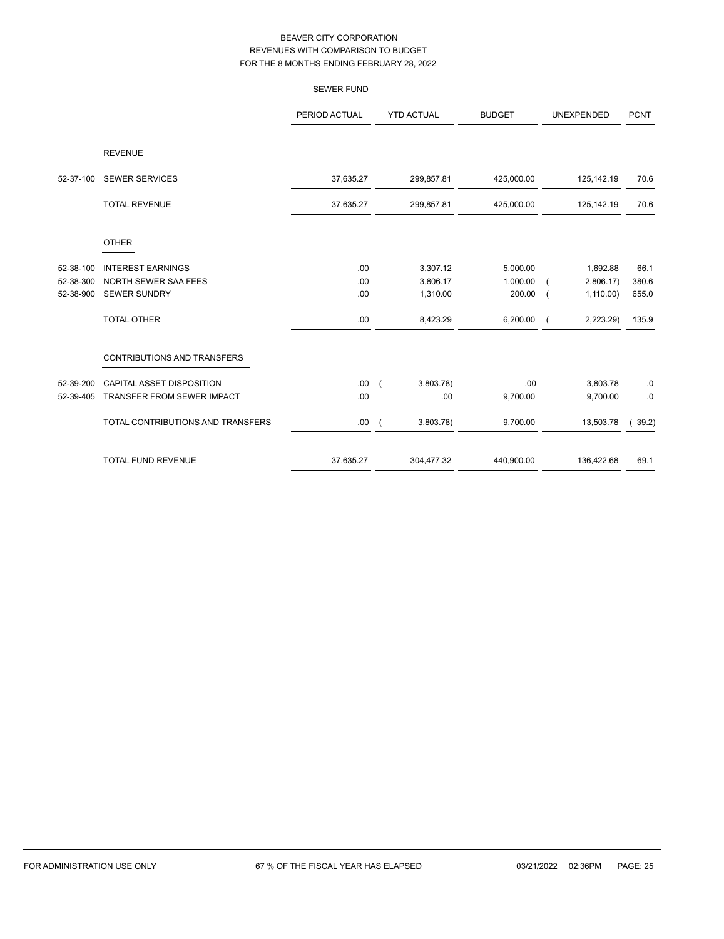|           |                                   | <b>SEWER FUND</b> |                |                   |               |                   |             |
|-----------|-----------------------------------|-------------------|----------------|-------------------|---------------|-------------------|-------------|
|           |                                   | PERIOD ACTUAL     |                | <b>YTD ACTUAL</b> | <b>BUDGET</b> | <b>UNEXPENDED</b> | <b>PCNT</b> |
|           | <b>REVENUE</b>                    |                   |                |                   |               |                   |             |
| 52-37-100 | <b>SEWER SERVICES</b>             | 37,635.27         |                | 299,857.81        | 425,000.00    | 125,142.19        | 70.6        |
|           | <b>TOTAL REVENUE</b>              | 37,635.27         |                | 299,857.81        | 425,000.00    | 125,142.19        | 70.6        |
|           | <b>OTHER</b>                      |                   |                |                   |               |                   |             |
| 52-38-100 | <b>INTEREST EARNINGS</b>          | .00               |                | 3,307.12          | 5,000.00      | 1,692.88          | 66.1        |
| 52-38-300 | NORTH SEWER SAA FEES              | .00               |                | 3,806.17          | 1,000.00      | 2,806.17          | 380.6       |
| 52-38-900 | <b>SEWER SUNDRY</b>               | .00               |                | 1,310.00          | 200.00        | 1,110.00          | 655.0       |
|           | <b>TOTAL OTHER</b>                | .00               |                | 8,423.29          | 6,200.00      | 2,223.29)         | 135.9       |
|           | CONTRIBUTIONS AND TRANSFERS       |                   |                |                   |               |                   |             |
| 52-39-200 | <b>CAPITAL ASSET DISPOSITION</b>  | .00.              | $\overline{ }$ | 3,803.78)         | .00           | 3,803.78          | $.0\,$      |
| 52-39-405 | TRANSFER FROM SEWER IMPACT        | .00               |                | .00               | 9,700.00      | 9,700.00          | $.0\,$      |
|           | TOTAL CONTRIBUTIONS AND TRANSFERS | .00.              | $\overline{ }$ | 3,803.78)         | 9,700.00      | 13,503.78         | 39.2)       |
|           | <b>TOTAL FUND REVENUE</b>         | 37,635.27         |                | 304,477.32        | 440,900.00    | 136,422.68        | 69.1        |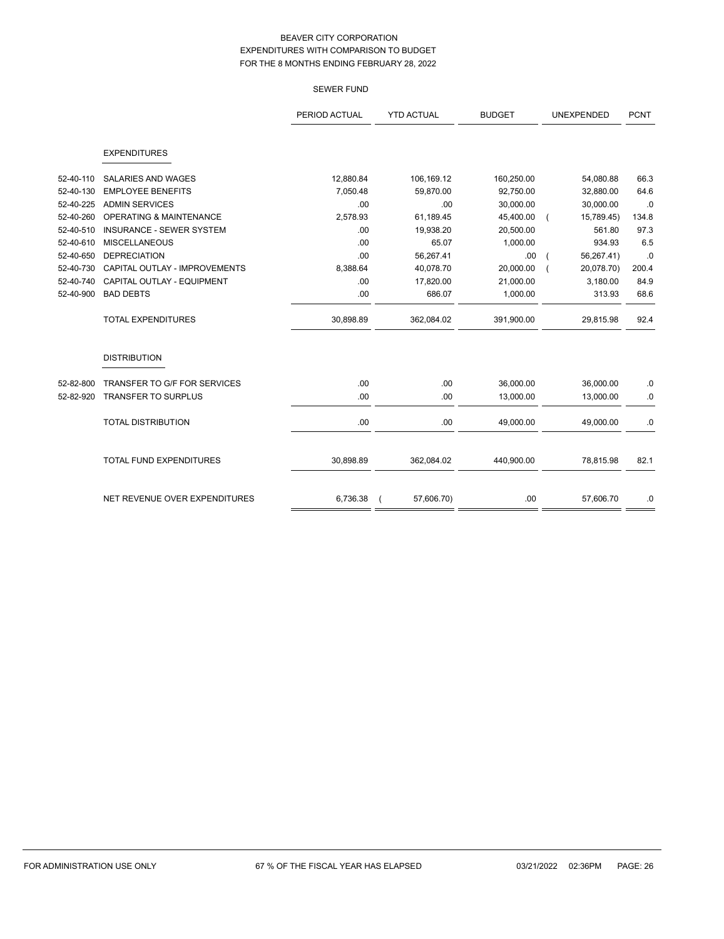SEWER FUND

|           |                                 | PERIOD ACTUAL | <b>YTD ACTUAL</b> | <b>BUDGET</b> | <b>UNEXPENDED</b> | <b>PCNT</b> |
|-----------|---------------------------------|---------------|-------------------|---------------|-------------------|-------------|
|           | <b>EXPENDITURES</b>             |               |                   |               |                   |             |
| 52-40-110 | <b>SALARIES AND WAGES</b>       | 12,880.84     | 106,169.12        | 160,250.00    | 54,080.88         | 66.3        |
| 52-40-130 | <b>EMPLOYEE BENEFITS</b>        | 7,050.48      | 59,870.00         | 92,750.00     | 32,880.00         | 64.6        |
| 52-40-225 | <b>ADMIN SERVICES</b>           | .00           | .00               | 30,000.00     | 30,000.00         | .0          |
| 52-40-260 | OPERATING & MAINTENANCE         | 2,578.93      | 61,189.45         | 45,400.00     | 15,789.45)        | 134.8       |
| 52-40-510 | <b>INSURANCE - SEWER SYSTEM</b> | .00           | 19,938.20         | 20,500.00     | 561.80            | 97.3        |
| 52-40-610 | <b>MISCELLANEOUS</b>            | .00           | 65.07             | 1,000.00      | 934.93            | 6.5         |
| 52-40-650 | <b>DEPRECIATION</b>             | .00           | 56,267.41         | .00           | 56,267.41)        | .0          |
| 52-40-730 | CAPITAL OUTLAY - IMPROVEMENTS   | 8,388.64      | 40,078.70         | 20,000.00     | 20,078.70)        | 200.4       |
| 52-40-740 | CAPITAL OUTLAY - EQUIPMENT      | .00           | 17,820.00         | 21,000.00     | 3.180.00          | 84.9        |
| 52-40-900 | <b>BAD DEBTS</b>                | .00           | 686.07            | 1,000.00      | 313.93            | 68.6        |
|           | <b>TOTAL EXPENDITURES</b>       | 30,898.89     | 362,084.02        | 391,900.00    | 29,815.98         | 92.4        |
|           | <b>DISTRIBUTION</b>             |               |                   |               |                   |             |
| 52-82-800 | TRANSFER TO G/F FOR SERVICES    | .00           | .00               | 36,000.00     | 36,000.00         | 0.0         |
| 52-82-920 | <b>TRANSFER TO SURPLUS</b>      | .00           | .00               | 13,000.00     | 13,000.00         | .0          |
|           | <b>TOTAL DISTRIBUTION</b>       | .00           | .00               | 49,000.00     | 49,000.00         | .0          |
|           | <b>TOTAL FUND EXPENDITURES</b>  | 30,898.89     | 362,084.02        | 440,900.00    | 78,815.98         | 82.1        |
|           |                                 |               |                   |               |                   |             |
|           | NET REVENUE OVER EXPENDITURES   | 6,736.38      | 57,606.70)        | .00           | 57,606.70         | .0          |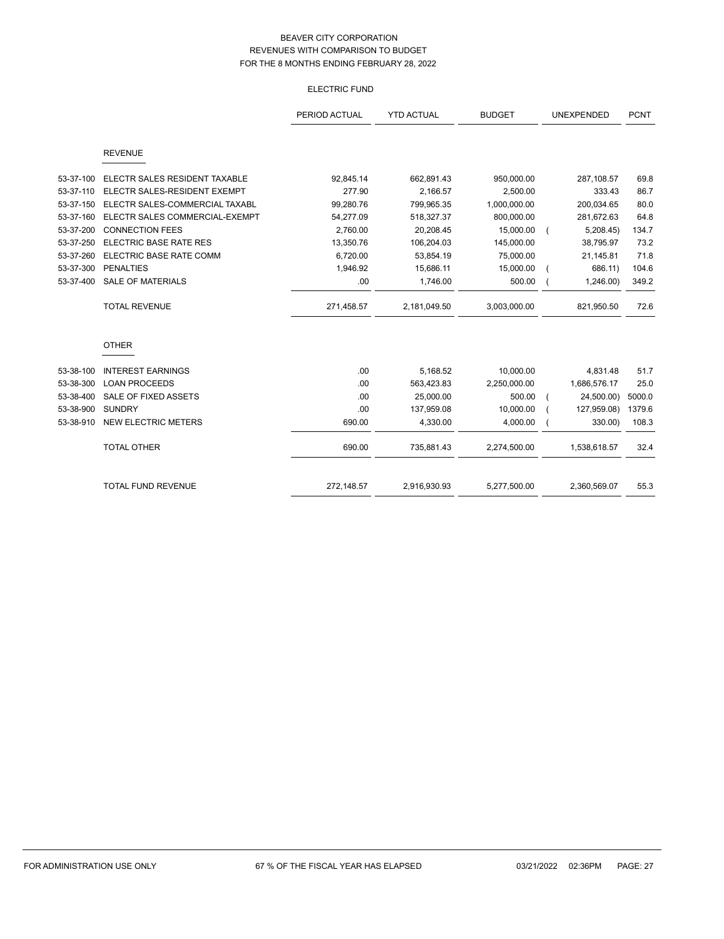# ELECTRIC FUND

|           |                                | PERIOD ACTUAL | <b>YTD ACTUAL</b> | <b>BUDGET</b> | UNEXPENDED   | <b>PCNT</b> |
|-----------|--------------------------------|---------------|-------------------|---------------|--------------|-------------|
|           | <b>REVENUE</b>                 |               |                   |               |              |             |
| 53-37-100 | ELECTR SALES RESIDENT TAXABLE  | 92,845.14     | 662,891.43        | 950,000.00    | 287,108.57   | 69.8        |
| 53-37-110 | ELECTR SALES-RESIDENT EXEMPT   | 277.90        | 2,166.57          | 2,500.00      | 333.43       | 86.7        |
| 53-37-150 | ELECTR SALES-COMMERCIAL TAXABL | 99,280.76     | 799,965.35        | 1,000,000.00  | 200,034.65   | 80.0        |
| 53-37-160 | ELECTR SALES COMMERCIAL-EXEMPT | 54,277.09     | 518,327.37        | 800,000.00    | 281,672.63   | 64.8        |
| 53-37-200 | <b>CONNECTION FEES</b>         | 2,760.00      | 20,208.45         | 15,000.00     | 5,208.45     | 134.7       |
| 53-37-250 | ELECTRIC BASE RATE RES         | 13,350.76     | 106,204.03        | 145,000.00    | 38,795.97    | 73.2        |
| 53-37-260 | ELECTRIC BASE RATE COMM        | 6,720.00      | 53,854.19         | 75,000.00     | 21,145.81    | 71.8        |
| 53-37-300 | <b>PENALTIES</b>               | 1,946.92      | 15,686.11         | 15,000.00     | 686.11)      | 104.6       |
| 53-37-400 | <b>SALE OF MATERIALS</b>       | .00           | 1,746.00          | 500.00        | 1,246.00     | 349.2       |
|           | <b>TOTAL REVENUE</b>           | 271,458.57    | 2,181,049.50      | 3,003,000.00  | 821,950.50   | 72.6        |
|           | <b>OTHER</b>                   |               |                   |               |              |             |
| 53-38-100 | <b>INTEREST EARNINGS</b>       | .00           | 5,168.52          | 10,000.00     | 4,831.48     | 51.7        |
| 53-38-300 | <b>LOAN PROCEEDS</b>           | .00           | 563,423.83        | 2,250,000.00  | 1,686,576.17 | 25.0        |
| 53-38-400 | SALE OF FIXED ASSETS           | .00           | 25,000.00         | 500.00        | 24,500.00)   | 5000.0      |
| 53-38-900 | <b>SUNDRY</b>                  | .00           | 137,959.08        | 10,000.00     | 127,959.08)  | 1379.6      |
| 53-38-910 | <b>NEW ELECTRIC METERS</b>     | 690.00        | 4,330.00          | 4,000.00      | 330.00)      | 108.3       |
|           | <b>TOTAL OTHER</b>             | 690.00        | 735,881.43        | 2,274,500.00  | 1,538,618.57 | 32.4        |
|           | <b>TOTAL FUND REVENUE</b>      | 272,148.57    | 2,916,930.93      | 5,277,500.00  | 2,360,569.07 | 55.3        |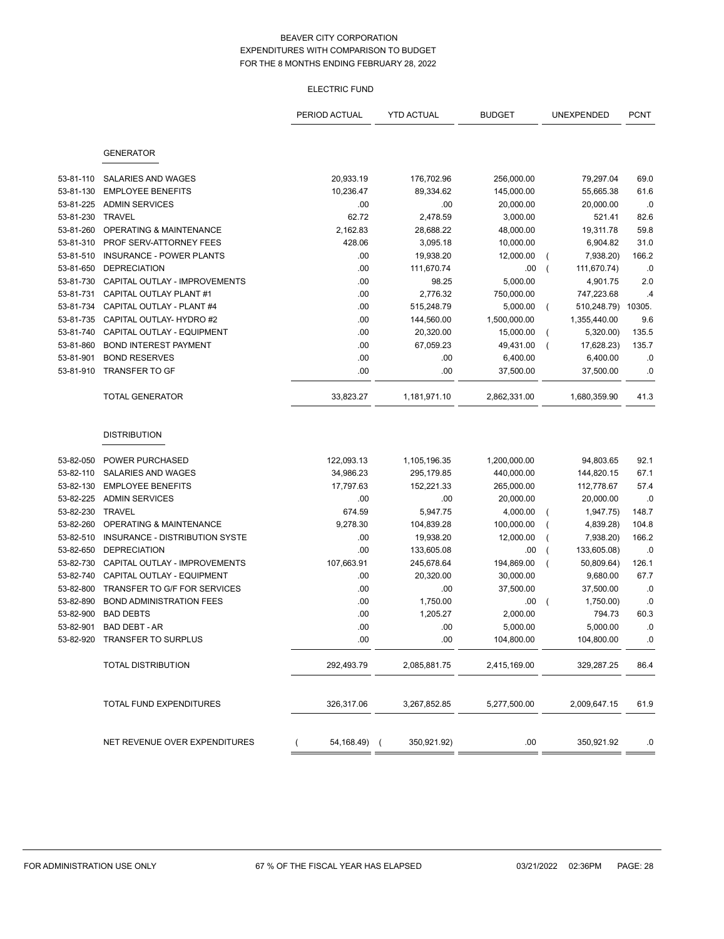# ELECTRIC FUND

|           |                                 | PERIOD ACTUAL     | <b>YTD ACTUAL</b> | <b>BUDGET</b> | UNEXPENDED                    | <b>PCNT</b> |
|-----------|---------------------------------|-------------------|-------------------|---------------|-------------------------------|-------------|
|           |                                 |                   |                   |               |                               |             |
|           | <b>GENERATOR</b>                |                   |                   |               |                               |             |
| 53-81-110 | <b>SALARIES AND WAGES</b>       | 20,933.19         | 176,702.96        | 256,000.00    | 79,297.04                     | 69.0        |
| 53-81-130 | <b>EMPLOYEE BENEFITS</b>        | 10,236.47         | 89,334.62         | 145,000.00    | 55,665.38                     | 61.6        |
| 53-81-225 | <b>ADMIN SERVICES</b>           | .00               | .00               | 20,000.00     | 20,000.00                     | .0          |
| 53-81-230 | <b>TRAVEL</b>                   | 62.72             | 2,478.59          | 3,000.00      | 521.41                        | 82.6        |
| 53-81-260 | OPERATING & MAINTENANCE         | 2,162.83          | 28,688.22         | 48,000.00     | 19,311.78                     | 59.8        |
| 53-81-310 | PROF SERV-ATTORNEY FEES         | 428.06            | 3,095.18          | 10,000.00     | 6,904.82                      | 31.0        |
| 53-81-510 | <b>INSURANCE - POWER PLANTS</b> | .00               | 19,938.20         | 12,000.00     | 7,938.20)<br>$\left($         | 166.2       |
| 53-81-650 | <b>DEPRECIATION</b>             | .00               | 111,670.74        | .00           | $\overline{ }$<br>111,670.74) | .0          |
| 53-81-730 | CAPITAL OUTLAY - IMPROVEMENTS   | .00               | 98.25             | 5,000.00      | 4,901.75                      | 2.0         |
| 53-81-731 | CAPITAL OUTLAY PLANT #1         | .00               | 2,776.32          | 750,000.00    | 747,223.68                    | .4          |
| 53-81-734 | CAPITAL OUTLAY - PLANT #4       | .00               | 515,248.79        | 5,000.00      | 510,248.79)<br>$\left($       | 10305.      |
| 53-81-735 | CAPITAL OUTLAY- HYDRO #2        | .00               | 144,560.00        | 1,500,000.00  | 1,355,440.00                  | 9.6         |
| 53-81-740 | CAPITAL OUTLAY - EQUIPMENT      | .00               | 20,320.00         | 15,000.00     | 5,320.00)<br>$\overline{ }$   | 135.5       |
| 53-81-860 | <b>BOND INTEREST PAYMENT</b>    | .00               | 67,059.23         | 49,431.00     | 17,628.23)<br>$\overline{ }$  | 135.7       |
| 53-81-901 | <b>BOND RESERVES</b>            | .00               | .00               | 6,400.00      | 6,400.00                      | .0          |
| 53-81-910 | TRANSFER TO GF                  | .00               | .00               | 37,500.00     | 37,500.00                     | .0          |
|           | <b>TOTAL GENERATOR</b>          | 33,823.27         | 1,181,971.10      | 2,862,331.00  | 1,680,359.90                  | 41.3        |
|           | <b>DISTRIBUTION</b>             |                   |                   |               |                               |             |
| 53-82-050 | <b>POWER PURCHASED</b>          | 122,093.13        | 1,105,196.35      | 1,200,000.00  | 94,803.65                     | 92.1        |
| 53-82-110 | SALARIES AND WAGES              | 34,986.23         | 295,179.85        | 440,000.00    | 144,820.15                    | 67.1        |
| 53-82-130 | <b>EMPLOYEE BENEFITS</b>        | 17,797.63         | 152,221.33        | 265,000.00    | 112,778.67                    | 57.4        |
| 53-82-225 | <b>ADMIN SERVICES</b>           | .00               | .00               | 20,000.00     | 20,000.00                     | .0          |
| 53-82-230 | <b>TRAVEL</b>                   | 674.59            | 5,947.75          | 4,000.00      | 1,947.75)<br>$\overline{ }$   | 148.7       |
| 53-82-260 | OPERATING & MAINTENANCE         | 9,278.30          | 104,839.28        | 100,000.00    | 4,839.28)<br>$\overline{ }$   | 104.8       |
| 53-82-510 | INSURANCE - DISTRIBUTION SYSTE  | .00               | 19,938.20         | 12,000.00     | 7,938.20)<br>(                | 166.2       |
| 53-82-650 | <b>DEPRECIATION</b>             | .00               | 133,605.08        | .00           | 133,605.08)                   | .0          |
| 53-82-730 | CAPITAL OUTLAY - IMPROVEMENTS   | 107,663.91        | 245,678.64        | 194,869.00    | 50,809.64)                    | 126.1       |
| 53-82-740 | CAPITAL OUTLAY - EQUIPMENT      | .00               | 20,320.00         | 30,000.00     | 9,680.00                      | 67.7        |
| 53-82-800 | TRANSFER TO G/F FOR SERVICES    | .00               | .00               | 37,500.00     | 37,500.00                     | .0          |
| 53-82-890 | <b>BOND ADMINISTRATION FEES</b> | .00               | 1,750.00          | .00           | 1,750.00)<br>(                | .0          |
| 53-82-900 | <b>BAD DEBTS</b>                | .00               | 1,205.27          | 2,000.00      | 794.73                        | 60.3        |
| 53-82-901 | <b>BAD DEBT - AR</b>            | .00               | .00               | 5,000.00      | 5,000.00                      | .0          |
| 53-82-920 | TRANSFER TO SURPLUS             | .00               | .00               | 104,800.00    | 104,800.00                    | .0          |
|           | <b>TOTAL DISTRIBUTION</b>       | 292,493.79        | 2,085,881.75      | 2,415,169.00  | 329,287.25                    | 86.4        |
|           | TOTAL FUND EXPENDITURES         | 326,317.06        | 3,267,852.85      | 5,277,500.00  | 2,009,647.15                  | 61.9        |
|           | NET REVENUE OVER EXPENDITURES   | 54,168.49) (<br>( | 350,921.92)       | .00.          | 350,921.92                    | .0          |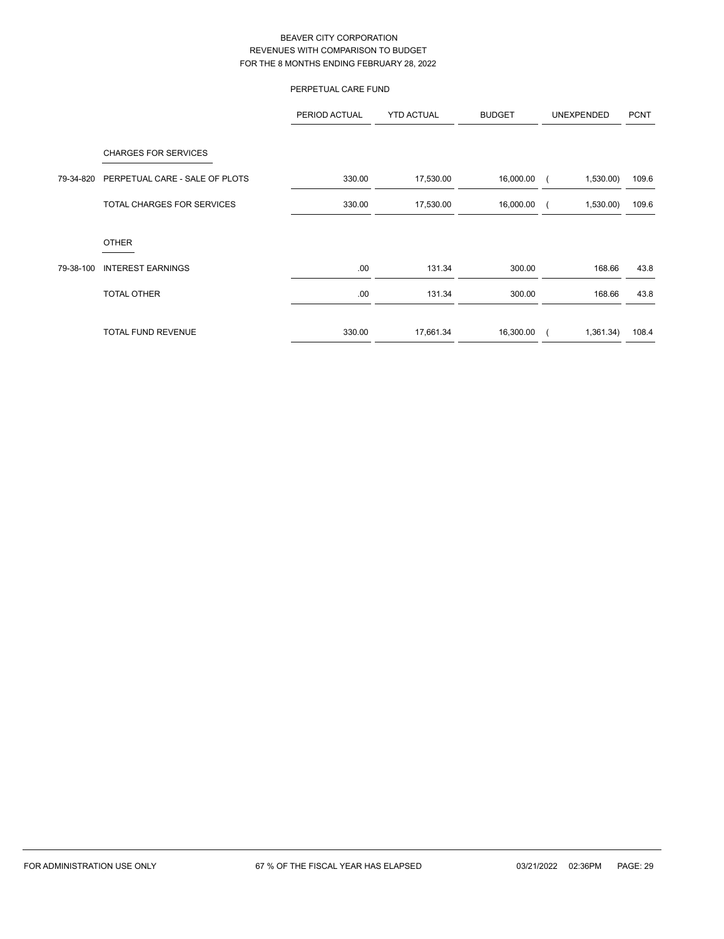# PERPETUAL CARE FUND

|           |                                                               | PERIOD ACTUAL | <b>YTD ACTUAL</b> | <b>BUDGET</b> | UNEXPENDED | <b>PCNT</b> |
|-----------|---------------------------------------------------------------|---------------|-------------------|---------------|------------|-------------|
| 79-34-820 | <b>CHARGES FOR SERVICES</b><br>PERPETUAL CARE - SALE OF PLOTS | 330.00        | 17,530.00         | 16,000.00     | 1,530.00   | 109.6       |
|           | TOTAL CHARGES FOR SERVICES                                    | 330.00        | 17,530.00         | 16,000.00     | 1,530.00   | 109.6       |
|           | <b>OTHER</b>                                                  |               |                   |               |            |             |
| 79-38-100 | <b>INTEREST EARNINGS</b>                                      | .00.          | 131.34            | 300.00        | 168.66     | 43.8        |
|           | TOTAL OTHER                                                   | .00.          | 131.34            | 300.00        | 168.66     | 43.8        |
|           | <b>TOTAL FUND REVENUE</b>                                     | 330.00        | 17,661.34         | 16,300.00     | 1,361.34)  | 108.4       |